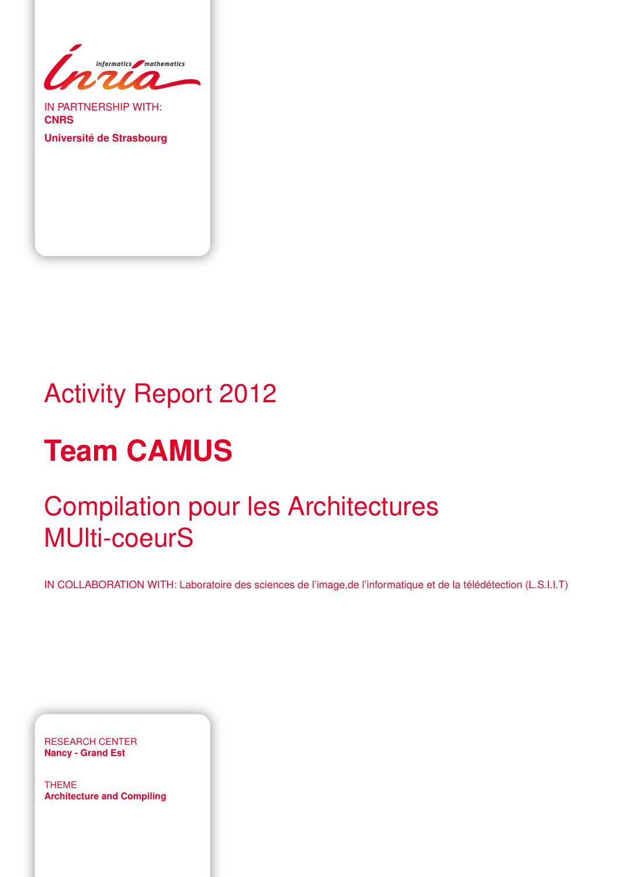

IN PARTNERSHIP WITH: **CNRS**

**Université de Strasbourg**

# Activity Report 2012

# **Team CAMUS**

# Compilation pour les Architectures MUlti-coeurS

IN COLLABORATION WITH: Laboratoire des sciences de l'image,de l'informatique et de la télédétection (L.S.I.I.T)

RESEARCH CENTER **Nancy - Grand Est**

THEME **Architecture and Compiling**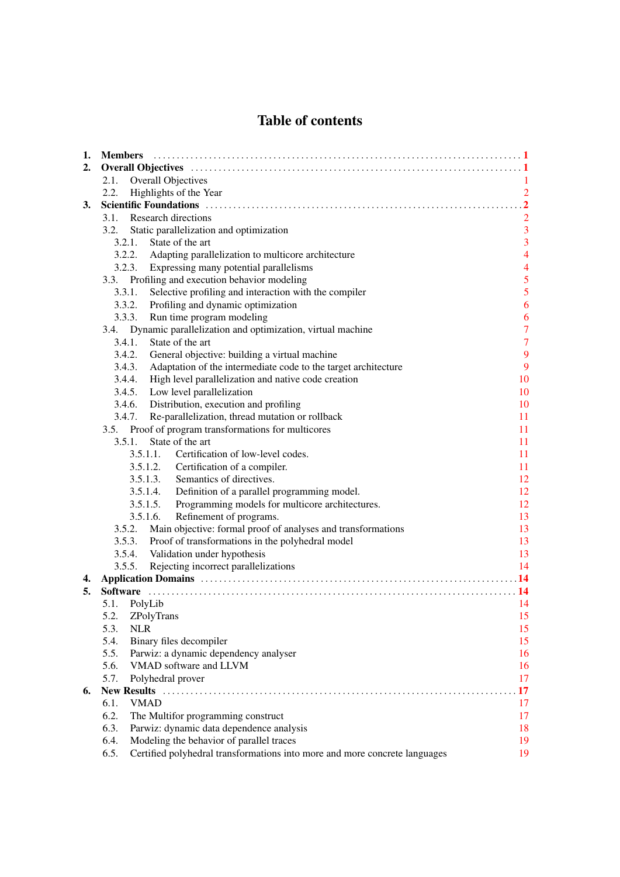# Table of contents

| 1. |                                                                                                                                                                                                                                |                                            |  |  |  |
|----|--------------------------------------------------------------------------------------------------------------------------------------------------------------------------------------------------------------------------------|--------------------------------------------|--|--|--|
| 2. |                                                                                                                                                                                                                                |                                            |  |  |  |
|    | 2.1.<br>Overall Objectives                                                                                                                                                                                                     | 1.                                         |  |  |  |
|    | Highlights of the Year<br>2.2.                                                                                                                                                                                                 | $\overline{2}$                             |  |  |  |
| 3. | Scientific Foundations (and according to the control of the control of the control of the control of the control of the control of the control of the control of the control of the control of the control of the control of t | $\overline{2}$                             |  |  |  |
|    | 3.1. Research directions                                                                                                                                                                                                       | $\overline{2}$                             |  |  |  |
|    | Static parallelization and optimization<br>3.2.                                                                                                                                                                                | $\overline{3}$                             |  |  |  |
|    | State of the art<br>3.2.1.                                                                                                                                                                                                     | $\overline{\mathbf{3}}$                    |  |  |  |
|    | 3.2.2. Adapting parallelization to multicore architecture                                                                                                                                                                      | $\overline{4}$                             |  |  |  |
|    | 3.2.3. Expressing many potential parallelisms                                                                                                                                                                                  |                                            |  |  |  |
|    | 3.3. Profiling and execution behavior modeling                                                                                                                                                                                 | $\begin{array}{c} 4 \\ 5 \\ 5 \end{array}$ |  |  |  |
|    | Selective profiling and interaction with the compiler<br>3.3.1.                                                                                                                                                                |                                            |  |  |  |
|    | 3.3.2. Profiling and dynamic optimization                                                                                                                                                                                      | $\overline{6}$                             |  |  |  |
|    | 3.3.3.<br>Run time program modeling                                                                                                                                                                                            | 6                                          |  |  |  |
|    | 3.4. Dynamic parallelization and optimization, virtual machine                                                                                                                                                                 | $\overline{7}$                             |  |  |  |
|    | 3.4.1.<br>State of the art                                                                                                                                                                                                     | $\overline{7}$                             |  |  |  |
|    | 3.4.2.<br>General objective: building a virtual machine                                                                                                                                                                        | 9                                          |  |  |  |
|    | 3.4.3. Adaptation of the intermediate code to the target architecture                                                                                                                                                          | 9                                          |  |  |  |
|    | 3.4.4. High level parallelization and native code creation                                                                                                                                                                     | 10                                         |  |  |  |
|    | 3.4.5. Low level parallelization                                                                                                                                                                                               | 10                                         |  |  |  |
|    | 3.4.6. Distribution, execution and profiling                                                                                                                                                                                   | 10                                         |  |  |  |
|    | 3.4.7. Re-parallelization, thread mutation or rollback                                                                                                                                                                         | 11                                         |  |  |  |
|    | 3.5. Proof of program transformations for multicores                                                                                                                                                                           | 11                                         |  |  |  |
|    | State of the art<br>3.5.1.                                                                                                                                                                                                     | 11                                         |  |  |  |
|    | Certification of low-level codes.<br>3.5.1.1.                                                                                                                                                                                  | 11                                         |  |  |  |
|    | 3.5.1.2. Certification of a compiler.                                                                                                                                                                                          | 11                                         |  |  |  |
|    | 3.5.1.3. Semantics of directives.                                                                                                                                                                                              | 12                                         |  |  |  |
|    | 3.5.1.4. Definition of a parallel programming model.                                                                                                                                                                           | 12                                         |  |  |  |
|    | Programming models for multicore architectures.<br>3.5.1.5.                                                                                                                                                                    | 12                                         |  |  |  |
|    | Refinement of programs.<br>3.5.1.6.                                                                                                                                                                                            | 13                                         |  |  |  |
|    | 3.5.2. Main objective: formal proof of analyses and transformations                                                                                                                                                            | 13                                         |  |  |  |
|    | 3.5.3. Proof of transformations in the polyhedral model                                                                                                                                                                        | 13                                         |  |  |  |
|    | 3.5.4. Validation under hypothesis                                                                                                                                                                                             | 13                                         |  |  |  |
|    | 3.5.5. Rejecting incorrect parallelizations                                                                                                                                                                                    | 14                                         |  |  |  |
| 4. |                                                                                                                                                                                                                                | $\overline{14}$                            |  |  |  |
| 5. |                                                                                                                                                                                                                                |                                            |  |  |  |
|    | 5.1. PolyLib                                                                                                                                                                                                                   | 14                                         |  |  |  |
|    | 5.2. ZPolyTrans                                                                                                                                                                                                                | 15                                         |  |  |  |
|    | 5.3.<br><b>NLR</b>                                                                                                                                                                                                             | 15                                         |  |  |  |
|    | 5.4.<br>Binary files decompiler                                                                                                                                                                                                | 15                                         |  |  |  |
|    | 5.5.<br>Parwiz: a dynamic dependency analyser                                                                                                                                                                                  | 16                                         |  |  |  |
|    | 5.6.<br>VMAD software and LLVM                                                                                                                                                                                                 | 16                                         |  |  |  |
|    | 5.7.<br>Polyhedral prover                                                                                                                                                                                                      | 17                                         |  |  |  |
| 6. |                                                                                                                                                                                                                                | 17                                         |  |  |  |
|    | <b>VMAD</b><br>6.1.                                                                                                                                                                                                            | 17                                         |  |  |  |
|    | 6.2.<br>The Multifor programming construct                                                                                                                                                                                     | 17                                         |  |  |  |
|    | 6.3.<br>Parwiz: dynamic data dependence analysis                                                                                                                                                                               | 18                                         |  |  |  |
|    | Modeling the behavior of parallel traces<br>6.4.                                                                                                                                                                               | 19                                         |  |  |  |
|    | Certified polyhedral transformations into more and more concrete languages<br>6.5.                                                                                                                                             | 19                                         |  |  |  |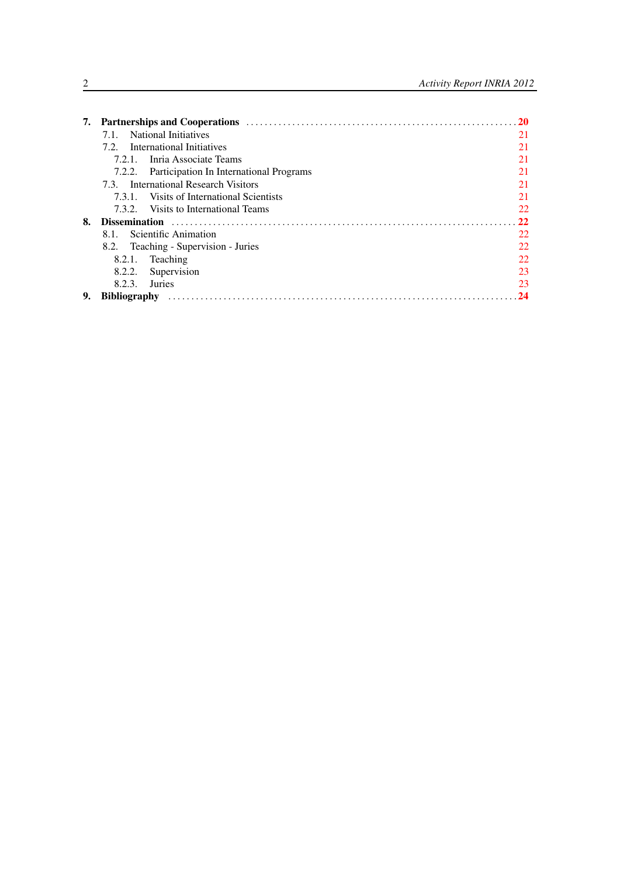|    |                     |                                                | 20 |
|----|---------------------|------------------------------------------------|----|
|    | 7.1.                | <b>National Initiatives</b>                    | 21 |
|    |                     | 7.2. International Initiatives                 | 21 |
|    |                     | 7.2.1. Inria Associate Teams                   | 21 |
|    |                     | 7.2.2. Participation In International Programs | 21 |
|    |                     | 7.3. International Research Visitors           | 21 |
|    | 7.3.1.              | Visits of International Scientists             | 21 |
|    |                     | 7.3.2. Visits to International Teams           | 22 |
| 8. |                     |                                                | 22 |
|    | 8.1.                | Scientific Animation                           | 22 |
|    |                     | 8.2. Teaching - Supervision - Juries           | 22 |
|    |                     | 8.2.1. Teaching                                | 22 |
|    | 8.2.2.              | Supervision                                    | 23 |
|    | 8.2.3.              | Juries                                         | 23 |
| 9. | <b>Bibliography</b> |                                                | 24 |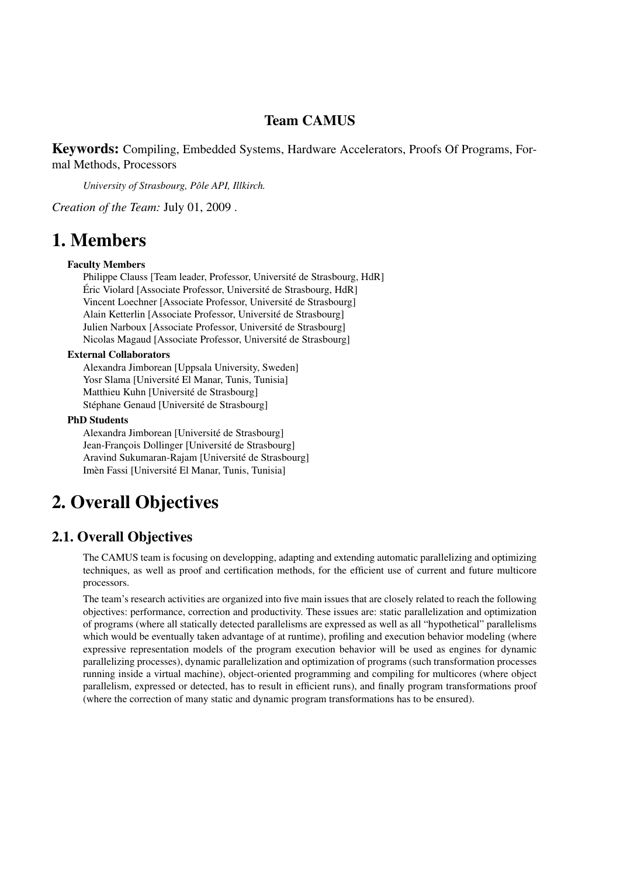# Team CAMUS

Keywords: Compiling, Embedded Systems, Hardware Accelerators, Proofs Of Programs, Formal Methods, Processors

*University of Strasbourg, Pôle API, Illkirch.*

*Creation of the Team:* July 01, 2009 .

# <span id="page-4-0"></span>1. Members

#### Faculty Members

Philippe Clauss [Team leader, Professor, Université de Strasbourg, HdR] Éric Violard [Associate Professor, Université de Strasbourg, HdR] Vincent Loechner [Associate Professor, Université de Strasbourg] Alain Ketterlin [Associate Professor, Université de Strasbourg] Julien Narboux [Associate Professor, Université de Strasbourg] Nicolas Magaud [Associate Professor, Université de Strasbourg]

#### External Collaborators

Alexandra Jimborean [Uppsala University, Sweden] Yosr Slama [Université El Manar, Tunis, Tunisia] Matthieu Kuhn [Université de Strasbourg] Stéphane Genaud [Université de Strasbourg]

#### PhD Students

Alexandra Jimborean [Université de Strasbourg] Jean-François Dollinger [Université de Strasbourg] Aravind Sukumaran-Rajam [Université de Strasbourg] Imèn Fassi [Université El Manar, Tunis, Tunisia]

# <span id="page-4-1"></span>2. Overall Objectives

# 2.1. Overall Objectives

<span id="page-4-2"></span>The CAMUS team is focusing on developping, adapting and extending automatic parallelizing and optimizing techniques, as well as proof and certification methods, for the efficient use of current and future multicore processors.

The team's research activities are organized into five main issues that are closely related to reach the following objectives: performance, correction and productivity. These issues are: static parallelization and optimization of programs (where all statically detected parallelisms are expressed as well as all "hypothetical" parallelisms which would be eventually taken advantage of at runtime), profiling and execution behavior modeling (where expressive representation models of the program execution behavior will be used as engines for dynamic parallelizing processes), dynamic parallelization and optimization of programs (such transformation processes running inside a virtual machine), object-oriented programming and compiling for multicores (where object parallelism, expressed or detected, has to result in efficient runs), and finally program transformations proof (where the correction of many static and dynamic program transformations has to be ensured).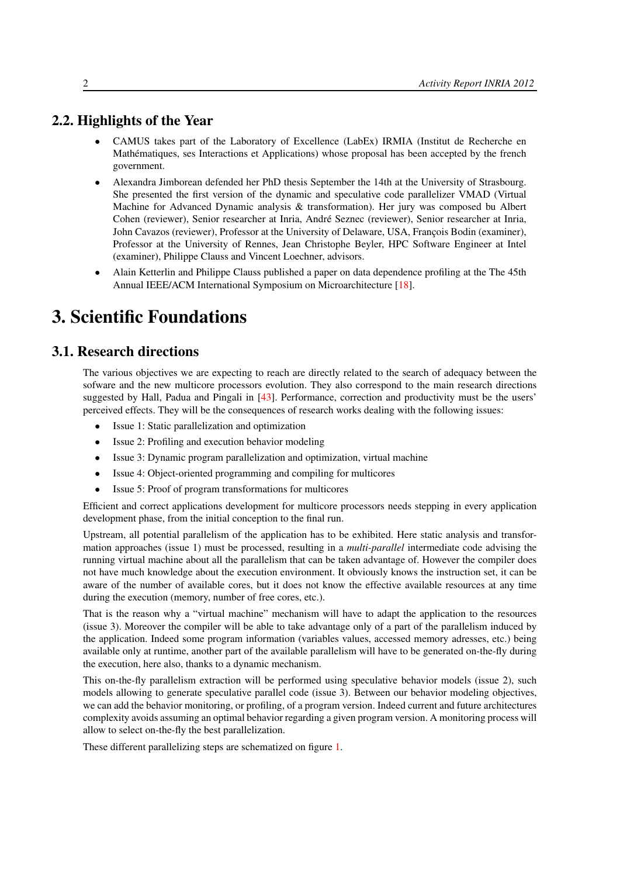# 2.2. Highlights of the Year

- <span id="page-5-0"></span>• CAMUS takes part of the Laboratory of Excellence (LabEx) IRMIA (Institut de Recherche en Mathématiques, ses Interactions et Applications) whose proposal has been accepted by the french government.
- Alexandra Jimborean defended her PhD thesis September the 14th at the University of Strasbourg. She presented the first version of the dynamic and speculative code parallelizer VMAD (Virtual Machine for Advanced Dynamic analysis & transformation). Her jury was composed bu Albert Cohen (reviewer), Senior researcher at Inria, André Seznec (reviewer), Senior researcher at Inria, John Cavazos (reviewer), Professor at the University of Delaware, USA, François Bodin (examiner), Professor at the University of Rennes, Jean Christophe Beyler, HPC Software Engineer at Intel (examiner), Philippe Clauss and Vincent Loechner, advisors.
- Alain Ketterlin and Philippe Clauss published a paper on data dependence profiling at the The 45th Annual IEEE/ACM International Symposium on Microarchitecture [\[18\]](#page-28-0).

# <span id="page-5-1"></span>3. Scientific Foundations

# 3.1. Research directions

<span id="page-5-2"></span>The various objectives we are expecting to reach are directly related to the search of adequacy between the sofware and the new multicore processors evolution. They also correspond to the main research directions suggested by Hall, Padua and Pingali in [\[43\]](#page-30-0). Performance, correction and productivity must be the users' perceived effects. They will be the consequences of research works dealing with the following issues:

- Issue 1: Static parallelization and optimization
- Issue 2: Profiling and execution behavior modeling
- Issue 3: Dynamic program parallelization and optimization, virtual machine
- Issue 4: Object-oriented programming and compiling for multicores
- Issue 5: Proof of program transformations for multicores

Efficient and correct applications development for multicore processors needs stepping in every application development phase, from the initial conception to the final run.

Upstream, all potential parallelism of the application has to be exhibited. Here static analysis and transformation approaches (issue 1) must be processed, resulting in a *multi-parallel* intermediate code advising the running virtual machine about all the parallelism that can be taken advantage of. However the compiler does not have much knowledge about the execution environment. It obviously knows the instruction set, it can be aware of the number of available cores, but it does not know the effective available resources at any time during the execution (memory, number of free cores, etc.).

That is the reason why a "virtual machine" mechanism will have to adapt the application to the resources (issue 3). Moreover the compiler will be able to take advantage only of a part of the parallelism induced by the application. Indeed some program information (variables values, accessed memory adresses, etc.) being available only at runtime, another part of the available parallelism will have to be generated on-the-fly during the execution, here also, thanks to a dynamic mechanism.

This on-the-fly parallelism extraction will be performed using speculative behavior models (issue 2), such models allowing to generate speculative parallel code (issue 3). Between our behavior modeling objectives, we can add the behavior monitoring, or profiling, of a program version. Indeed current and future architectures complexity avoids assuming an optimal behavior regarding a given program version. A monitoring process will allow to select on-the-fly the best parallelization.

These different parallelizing steps are schematized on figure [1.](#page-6-2)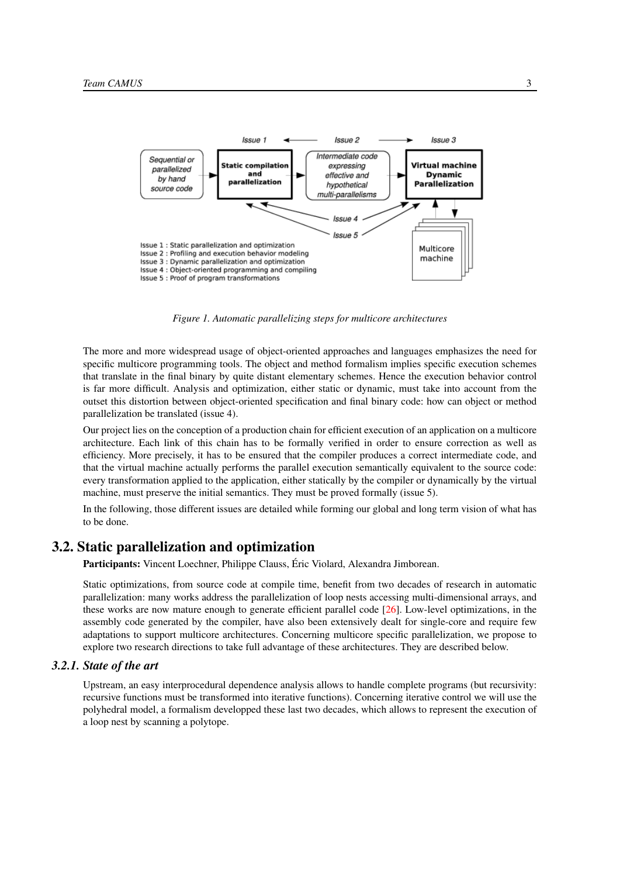<span id="page-6-2"></span>

*Figure 1. Automatic parallelizing steps for multicore architectures*

The more and more widespread usage of object-oriented approaches and languages emphasizes the need for specific multicore programming tools. The object and method formalism implies specific execution schemes that translate in the final binary by quite distant elementary schemes. Hence the execution behavior control is far more difficult. Analysis and optimization, either static or dynamic, must take into account from the outset this distortion between object-oriented specification and final binary code: how can object or method parallelization be translated (issue 4).

Our project lies on the conception of a production chain for efficient execution of an application on a multicore architecture. Each link of this chain has to be formally verified in order to ensure correction as well as efficiency. More precisely, it has to be ensured that the compiler produces a correct intermediate code, and that the virtual machine actually performs the parallel execution semantically equivalent to the source code: every transformation applied to the application, either statically by the compiler or dynamically by the virtual machine, must preserve the initial semantics. They must be proved formally (issue 5).

In the following, those different issues are detailed while forming our global and long term vision of what has to be done.

# 3.2. Static parallelization and optimization

<span id="page-6-0"></span>Participants: Vincent Loechner, Philippe Clauss, Éric Violard, Alexandra Jimborean.

Static optimizations, from source code at compile time, benefit from two decades of research in automatic parallelization: many works address the parallelization of loop nests accessing multi-dimensional arrays, and these works are now mature enough to generate efficient parallel code  $[26]$ . Low-level optimizations, in the assembly code generated by the compiler, have also been extensively dealt for single-core and require few adaptations to support multicore architectures. Concerning multicore specific parallelization, we propose to explore two research directions to take full advantage of these architectures. They are described below.

# *3.2.1. State of the art*

<span id="page-6-1"></span>Upstream, an easy interprocedural dependence analysis allows to handle complete programs (but recursivity: recursive functions must be transformed into iterative functions). Concerning iterative control we will use the polyhedral model, a formalism developped these last two decades, which allows to represent the execution of a loop nest by scanning a polytope.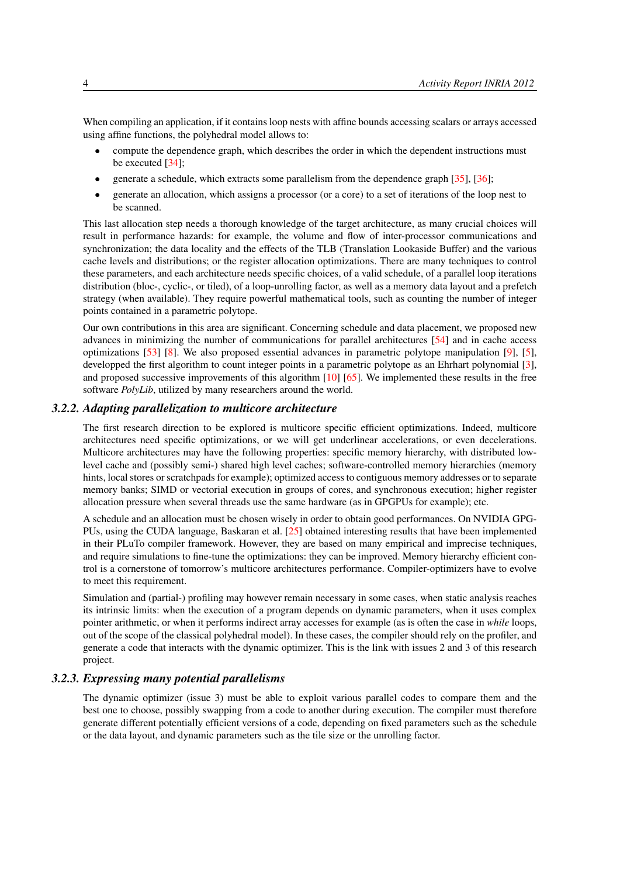When compiling an application, if it contains loop nests with affine bounds accessing scalars or arrays accessed using affine functions, the polyhedral model allows to:

- compute the dependence graph, which describes the order in which the dependent instructions must be executed [\[34\]](#page-30-1);
- generate a schedule, which extracts some parallelism from the dependence graph  $[35]$ ,  $[36]$ ;
- generate an allocation, which assigns a processor (or a core) to a set of iterations of the loop nest to be scanned.

This last allocation step needs a thorough knowledge of the target architecture, as many crucial choices will result in performance hazards: for example, the volume and flow of inter-processor communications and synchronization; the data locality and the effects of the TLB (Translation Lookaside Buffer) and the various cache levels and distributions; or the register allocation optimizations. There are many techniques to control these parameters, and each architecture needs specific choices, of a valid schedule, of a parallel loop iterations distribution (bloc-, cyclic-, or tiled), of a loop-unrolling factor, as well as a memory data layout and a prefetch strategy (when available). They require powerful mathematical tools, such as counting the number of integer points contained in a parametric polytope.

Our own contributions in this area are significant. Concerning schedule and data placement, we proposed new advances in minimizing the number of communications for parallel architectures [\[54\]](#page-31-0) and in cache access optimizations [\[53\]](#page-31-1) [\[8\]](#page-27-1). We also proposed essential advances in parametric polytope manipulation [\[9\]](#page-27-2), [\[5\]](#page-27-3), developped the first algorithm to count integer points in a parametric polytope as an Ehrhart polynomial [\[3\]](#page-27-4), and proposed successive improvements of this algorithm [\[10\]](#page-28-1) [\[65\]](#page-32-0). We implemented these results in the free software *PolyLib*, utilized by many researchers around the world.

#### *3.2.2. Adapting parallelization to multicore architecture*

<span id="page-7-0"></span>The first research direction to be explored is multicore specific efficient optimizations. Indeed, multicore architectures need specific optimizations, or we will get underlinear accelerations, or even decelerations. Multicore architectures may have the following properties: specific memory hierarchy, with distributed lowlevel cache and (possibly semi-) shared high level caches; software-controlled memory hierarchies (memory hints, local stores or scratchpads for example); optimized access to contiguous memory addresses or to separate memory banks; SIMD or vectorial execution in groups of cores, and synchronous execution; higher register allocation pressure when several threads use the same hardware (as in GPGPUs for example); etc.

A schedule and an allocation must be chosen wisely in order to obtain good performances. On NVIDIA GPG-PUs, using the CUDA language, Baskaran et al. [\[25\]](#page-29-1) obtained interesting results that have been implemented in their PLuTo compiler framework. However, they are based on many empirical and imprecise techniques, and require simulations to fine-tune the optimizations: they can be improved. Memory hierarchy efficient control is a cornerstone of tomorrow's multicore architectures performance. Compiler-optimizers have to evolve to meet this requirement.

Simulation and (partial-) profiling may however remain necessary in some cases, when static analysis reaches its intrinsic limits: when the execution of a program depends on dynamic parameters, when it uses complex pointer arithmetic, or when it performs indirect array accesses for example (as is often the case in *while* loops, out of the scope of the classical polyhedral model). In these cases, the compiler should rely on the profiler, and generate a code that interacts with the dynamic optimizer. This is the link with issues 2 and 3 of this research project.

# *3.2.3. Expressing many potential parallelisms*

<span id="page-7-1"></span>The dynamic optimizer (issue 3) must be able to exploit various parallel codes to compare them and the best one to choose, possibly swapping from a code to another during execution. The compiler must therefore generate different potentially efficient versions of a code, depending on fixed parameters such as the schedule or the data layout, and dynamic parameters such as the tile size or the unrolling factor.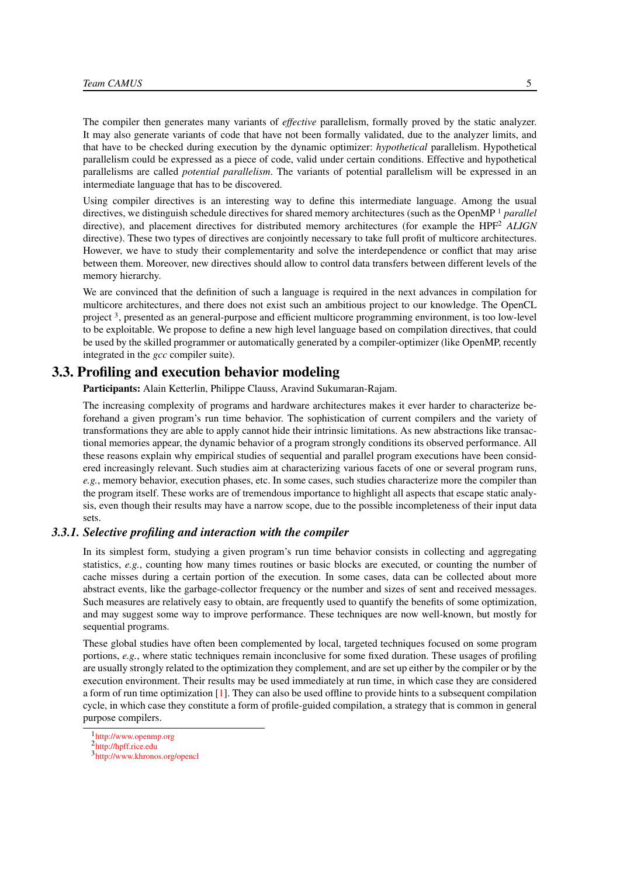The compiler then generates many variants of *effective* parallelism, formally proved by the static analyzer. It may also generate variants of code that have not been formally validated, due to the analyzer limits, and that have to be checked during execution by the dynamic optimizer: *hypothetical* parallelism. Hypothetical parallelism could be expressed as a piece of code, valid under certain conditions. Effective and hypothetical parallelisms are called *potential parallelism*. The variants of potential parallelism will be expressed in an intermediate language that has to be discovered.

Using compiler directives is an interesting way to define this intermediate language. Among the usual directives, we distinguish schedule directives for shared memory architectures (such as the OpenMP <sup>1</sup> *parallel* directive), and placement directives for distributed memory architectures (for example the HPF<sup>2</sup> *ALIGN* directive). These two types of directives are conjointly necessary to take full profit of multicore architectures. However, we have to study their complementarity and solve the interdependence or conflict that may arise between them. Moreover, new directives should allow to control data transfers between different levels of the memory hierarchy.

We are convinced that the definition of such a language is required in the next advances in compilation for multicore architectures, and there does not exist such an ambitious project to our knowledge. The OpenCL project <sup>3</sup>, presented as an general-purpose and efficient multicore programming environment, is too low-level to be exploitable. We propose to define a new high level language based on compilation directives, that could be used by the skilled programmer or automatically generated by a compiler-optimizer (like OpenMP, recently integrated in the *gcc* compiler suite).

# 3.3. Profiling and execution behavior modeling

<span id="page-8-0"></span>Participants: Alain Ketterlin, Philippe Clauss, Aravind Sukumaran-Rajam.

The increasing complexity of programs and hardware architectures makes it ever harder to characterize beforehand a given program's run time behavior. The sophistication of current compilers and the variety of transformations they are able to apply cannot hide their intrinsic limitations. As new abstractions like transactional memories appear, the dynamic behavior of a program strongly conditions its observed performance. All these reasons explain why empirical studies of sequential and parallel program executions have been considered increasingly relevant. Such studies aim at characterizing various facets of one or several program runs, *e.g.*, memory behavior, execution phases, etc. In some cases, such studies characterize more the compiler than the program itself. These works are of tremendous importance to highlight all aspects that escape static analysis, even though their results may have a narrow scope, due to the possible incompleteness of their input data sets.

#### *3.3.1. Selective profiling and interaction with the compiler*

<span id="page-8-1"></span>In its simplest form, studying a given program's run time behavior consists in collecting and aggregating statistics, *e.g.*, counting how many times routines or basic blocks are executed, or counting the number of cache misses during a certain portion of the execution. In some cases, data can be collected about more abstract events, like the garbage-collector frequency or the number and sizes of sent and received messages. Such measures are relatively easy to obtain, are frequently used to quantify the benefits of some optimization, and may suggest some way to improve performance. These techniques are now well-known, but mostly for sequential programs.

These global studies have often been complemented by local, targeted techniques focused on some program portions, *e.g.*, where static techniques remain inconclusive for some fixed duration. These usages of profiling are usually strongly related to the optimization they complement, and are set up either by the compiler or by the execution environment. Their results may be used immediately at run time, in which case they are considered a form of run time optimization [\[1\]](#page-27-5). They can also be used offline to provide hints to a subsequent compilation cycle, in which case they constitute a form of profile-guided compilation, a strategy that is common in general purpose compilers.

<sup>1</sup> <http://www.openmp.org>

<sup>&</sup>lt;sup>2</sup><http://hpff.rice.edu>

<sup>3</sup> <http://www.khronos.org/opencl>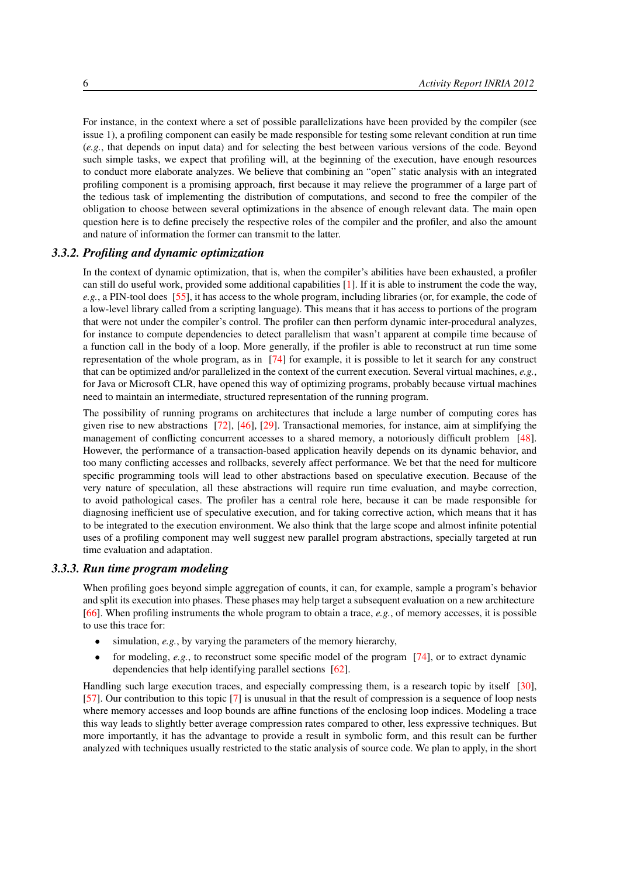For instance, in the context where a set of possible parallelizations have been provided by the compiler (see issue 1), a profiling component can easily be made responsible for testing some relevant condition at run time (*e.g.*, that depends on input data) and for selecting the best between various versions of the code. Beyond such simple tasks, we expect that profiling will, at the beginning of the execution, have enough resources to conduct more elaborate analyzes. We believe that combining an "open" static analysis with an integrated profiling component is a promising approach, first because it may relieve the programmer of a large part of the tedious task of implementing the distribution of computations, and second to free the compiler of the obligation to choose between several optimizations in the absence of enough relevant data. The main open question here is to define precisely the respective roles of the compiler and the profiler, and also the amount and nature of information the former can transmit to the latter.

#### *3.3.2. Profiling and dynamic optimization*

<span id="page-9-0"></span>In the context of dynamic optimization, that is, when the compiler's abilities have been exhausted, a profiler can still do useful work, provided some additional capabilities [\[1\]](#page-27-5). If it is able to instrument the code the way, *e.g.*, a PIN-tool does [\[55\]](#page-31-2), it has access to the whole program, including libraries (or, for example, the code of a low-level library called from a scripting language). This means that it has access to portions of the program that were not under the compiler's control. The profiler can then perform dynamic inter-procedural analyzes, for instance to compute dependencies to detect parallelism that wasn't apparent at compile time because of a function call in the body of a loop. More generally, if the profiler is able to reconstruct at run time some representation of the whole program, as in [\[74\]](#page-33-0) for example, it is possible to let it search for any construct that can be optimized and/or parallelized in the context of the current execution. Several virtual machines, *e.g.*, for Java or Microsoft CLR, have opened this way of optimizing programs, probably because virtual machines need to maintain an intermediate, structured representation of the running program.

The possibility of running programs on architectures that include a large number of computing cores has given rise to new abstractions [\[72\]](#page-33-1), [\[46\]](#page-30-4), [\[29\]](#page-29-2). Transactional memories, for instance, aim at simplifying the management of conflicting concurrent accesses to a shared memory, a notoriously difficult problem [\[48\]](#page-31-3). However, the performance of a transaction-based application heavily depends on its dynamic behavior, and too many conflicting accesses and rollbacks, severely affect performance. We bet that the need for multicore specific programming tools will lead to other abstractions based on speculative execution. Because of the very nature of speculation, all these abstractions will require run time evaluation, and maybe correction, to avoid pathological cases. The profiler has a central role here, because it can be made responsible for diagnosing inefficient use of speculative execution, and for taking corrective action, which means that it has to be integrated to the execution environment. We also think that the large scope and almost infinite potential uses of a profiling component may well suggest new parallel program abstractions, specially targeted at run time evaluation and adaptation.

#### *3.3.3. Run time program modeling*

<span id="page-9-1"></span>When profiling goes beyond simple aggregation of counts, it can, for example, sample a program's behavior and split its execution into phases. These phases may help target a subsequent evaluation on a new architecture [\[66\]](#page-32-1). When profiling instruments the whole program to obtain a trace, *e.g.*, of memory accesses, it is possible to use this trace for:

- simulation, *e.g.*, by varying the parameters of the memory hierarchy,
- for modeling, *e.g.*, to reconstruct some specific model of the program [\[74\]](#page-33-0), or to extract dynamic dependencies that help identifying parallel sections [\[62\]](#page-32-2).

Handling such large execution traces, and especially compressing them, is a research topic by itself [\[30\]](#page-29-3), [\[57\]](#page-31-4). Our contribution to this topic [\[7\]](#page-27-6) is unusual in that the result of compression is a sequence of loop nests where memory accesses and loop bounds are affine functions of the enclosing loop indices. Modeling a trace this way leads to slightly better average compression rates compared to other, less expressive techniques. But more importantly, it has the advantage to provide a result in symbolic form, and this result can be further analyzed with techniques usually restricted to the static analysis of source code. We plan to apply, in the short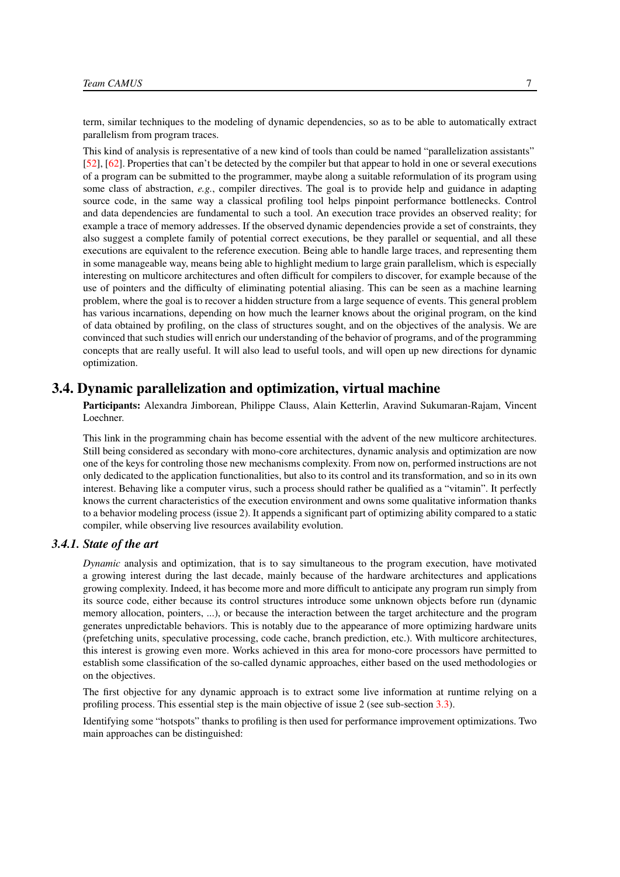term, similar techniques to the modeling of dynamic dependencies, so as to be able to automatically extract parallelism from program traces.

This kind of analysis is representative of a new kind of tools than could be named "parallelization assistants" [\[52\]](#page-31-5), [\[62\]](#page-32-2). Properties that can't be detected by the compiler but that appear to hold in one or several executions of a program can be submitted to the programmer, maybe along a suitable reformulation of its program using some class of abstraction, *e.g.*, compiler directives. The goal is to provide help and guidance in adapting source code, in the same way a classical profiling tool helps pinpoint performance bottlenecks. Control and data dependencies are fundamental to such a tool. An execution trace provides an observed reality; for example a trace of memory addresses. If the observed dynamic dependencies provide a set of constraints, they also suggest a complete family of potential correct executions, be they parallel or sequential, and all these executions are equivalent to the reference execution. Being able to handle large traces, and representing them in some manageable way, means being able to highlight medium to large grain parallelism, which is especially interesting on multicore architectures and often difficult for compilers to discover, for example because of the use of pointers and the difficulty of eliminating potential aliasing. This can be seen as a machine learning problem, where the goal is to recover a hidden structure from a large sequence of events. This general problem has various incarnations, depending on how much the learner knows about the original program, on the kind of data obtained by profiling, on the class of structures sought, and on the objectives of the analysis. We are convinced that such studies will enrich our understanding of the behavior of programs, and of the programming concepts that are really useful. It will also lead to useful tools, and will open up new directions for dynamic optimization.

## 3.4. Dynamic parallelization and optimization, virtual machine

<span id="page-10-0"></span>Participants: Alexandra Jimborean, Philippe Clauss, Alain Ketterlin, Aravind Sukumaran-Rajam, Vincent Loechner.

This link in the programming chain has become essential with the advent of the new multicore architectures. Still being considered as secondary with mono-core architectures, dynamic analysis and optimization are now one of the keys for controling those new mechanisms complexity. From now on, performed instructions are not only dedicated to the application functionalities, but also to its control and its transformation, and so in its own interest. Behaving like a computer virus, such a process should rather be qualified as a "vitamin". It perfectly knows the current characteristics of the execution environment and owns some qualitative information thanks to a behavior modeling process (issue 2). It appends a significant part of optimizing ability compared to a static compiler, while observing live resources availability evolution.

# *3.4.1. State of the art*

<span id="page-10-1"></span>*Dynamic* analysis and optimization, that is to say simultaneous to the program execution, have motivated a growing interest during the last decade, mainly because of the hardware architectures and applications growing complexity. Indeed, it has become more and more difficult to anticipate any program run simply from its source code, either because its control structures introduce some unknown objects before run (dynamic memory allocation, pointers, ...), or because the interaction between the target architecture and the program generates unpredictable behaviors. This is notably due to the appearance of more optimizing hardware units (prefetching units, speculative processing, code cache, branch prediction, etc.). With multicore architectures, this interest is growing even more. Works achieved in this area for mono-core processors have permitted to establish some classification of the so-called dynamic approaches, either based on the used methodologies or on the objectives.

The first objective for any dynamic approach is to extract some live information at runtime relying on a profiling process. This essential step is the main objective of issue 2 (see sub-section [3.3\)](#page-8-0).

Identifying some "hotspots" thanks to profiling is then used for performance improvement optimizations. Two main approaches can be distinguished: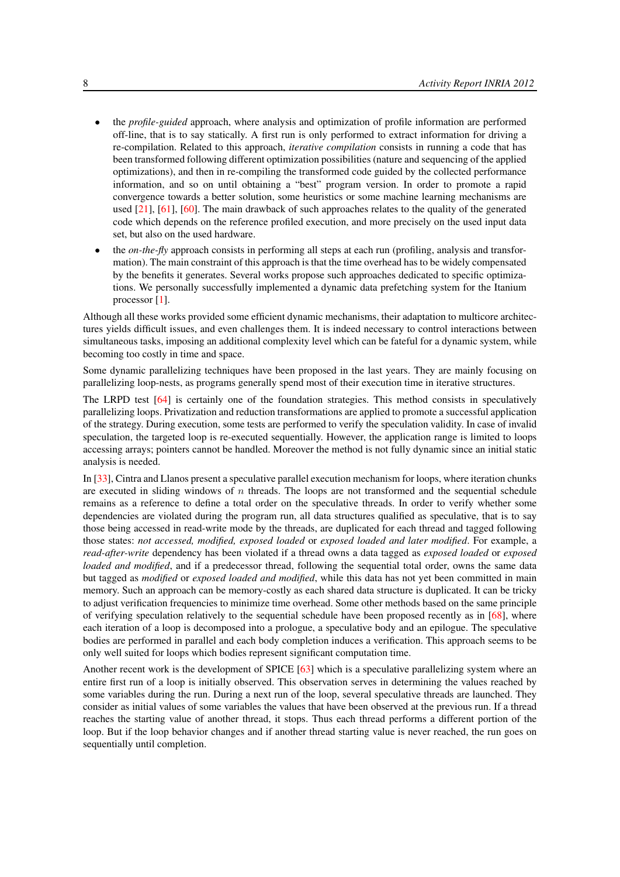- the *profile-guided* approach, where analysis and optimization of profile information are performed off-line, that is to say statically. A first run is only performed to extract information for driving a re-compilation. Related to this approach, *iterative compilation* consists in running a code that has been transformed following different optimization possibilities (nature and sequencing of the applied optimizations), and then in re-compiling the transformed code guided by the collected performance information, and so on until obtaining a "best" program version. In order to promote a rapid convergence towards a better solution, some heuristics or some machine learning mechanisms are used [\[21\]](#page-29-4), [\[61\]](#page-32-3), [\[60\]](#page-32-4). The main drawback of such approaches relates to the quality of the generated code which depends on the reference profiled execution, and more precisely on the used input data set, but also on the used hardware.
- the *on-the-fly* approach consists in performing all steps at each run (profiling, analysis and transformation). The main constraint of this approach is that the time overhead has to be widely compensated by the benefits it generates. Several works propose such approaches dedicated to specific optimizations. We personally successfully implemented a dynamic data prefetching system for the Itanium processor [\[1\]](#page-27-5).

Although all these works provided some efficient dynamic mechanisms, their adaptation to multicore architectures yields difficult issues, and even challenges them. It is indeed necessary to control interactions between simultaneous tasks, imposing an additional complexity level which can be fateful for a dynamic system, while becoming too costly in time and space.

Some dynamic parallelizing techniques have been proposed in the last years. They are mainly focusing on parallelizing loop-nests, as programs generally spend most of their execution time in iterative structures.

The LRPD test [\[64\]](#page-32-5) is certainly one of the foundation strategies. This method consists in speculatively parallelizing loops. Privatization and reduction transformations are applied to promote a successful application of the strategy. During execution, some tests are performed to verify the speculation validity. In case of invalid speculation, the targeted loop is re-executed sequentially. However, the application range is limited to loops accessing arrays; pointers cannot be handled. Moreover the method is not fully dynamic since an initial static analysis is needed.

In [\[33\]](#page-30-5), Cintra and Llanos present a speculative parallel execution mechanism for loops, where iteration chunks are executed in sliding windows of  $n$  threads. The loops are not transformed and the sequential schedule remains as a reference to define a total order on the speculative threads. In order to verify whether some dependencies are violated during the program run, all data structures qualified as speculative, that is to say those being accessed in read-write mode by the threads, are duplicated for each thread and tagged following those states: *not accessed, modified, exposed loaded* or *exposed loaded and later modified*. For example, a *read-after-write* dependency has been violated if a thread owns a data tagged as *exposed loaded* or *exposed loaded and modified*, and if a predecessor thread, following the sequential total order, owns the same data but tagged as *modified* or *exposed loaded and modified*, while this data has not yet been committed in main memory. Such an approach can be memory-costly as each shared data structure is duplicated. It can be tricky to adjust verification frequencies to minimize time overhead. Some other methods based on the same principle of verifying speculation relatively to the sequential schedule have been proposed recently as in [\[68\]](#page-32-6), where each iteration of a loop is decomposed into a prologue, a speculative body and an epilogue. The speculative bodies are performed in parallel and each body completion induces a verification. This approach seems to be only well suited for loops which bodies represent significant computation time.

Another recent work is the development of SPICE [\[63\]](#page-32-7) which is a speculative parallelizing system where an entire first run of a loop is initially observed. This observation serves in determining the values reached by some variables during the run. During a next run of the loop, several speculative threads are launched. They consider as initial values of some variables the values that have been observed at the previous run. If a thread reaches the starting value of another thread, it stops. Thus each thread performs a different portion of the loop. But if the loop behavior changes and if another thread starting value is never reached, the run goes on sequentially until completion.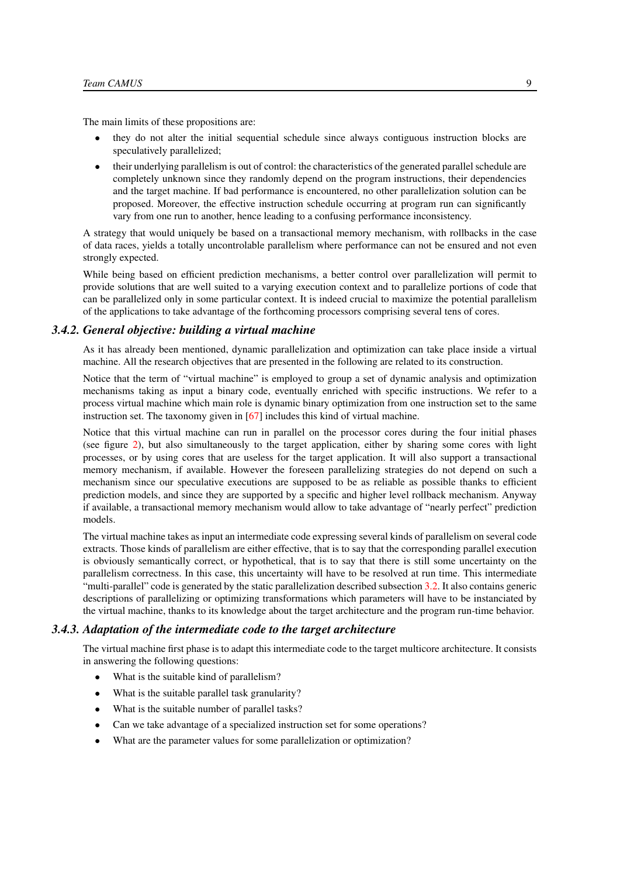The main limits of these propositions are:

- they do not alter the initial sequential schedule since always contiguous instruction blocks are speculatively parallelized;
- their underlying parallelism is out of control: the characteristics of the generated parallel schedule are completely unknown since they randomly depend on the program instructions, their dependencies and the target machine. If bad performance is encountered, no other parallelization solution can be proposed. Moreover, the effective instruction schedule occurring at program run can significantly vary from one run to another, hence leading to a confusing performance inconsistency.

A strategy that would uniquely be based on a transactional memory mechanism, with rollbacks in the case of data races, yields a totally uncontrolable parallelism where performance can not be ensured and not even strongly expected.

While being based on efficient prediction mechanisms, a better control over parallelization will permit to provide solutions that are well suited to a varying execution context and to parallelize portions of code that can be parallelized only in some particular context. It is indeed crucial to maximize the potential parallelism of the applications to take advantage of the forthcoming processors comprising several tens of cores.

#### *3.4.2. General objective: building a virtual machine*

<span id="page-12-0"></span>As it has already been mentioned, dynamic parallelization and optimization can take place inside a virtual machine. All the research objectives that are presented in the following are related to its construction.

Notice that the term of "virtual machine" is employed to group a set of dynamic analysis and optimization mechanisms taking as input a binary code, eventually enriched with specific instructions. We refer to a process virtual machine which main role is dynamic binary optimization from one instruction set to the same instruction set. The taxonomy given in [\[67\]](#page-32-8) includes this kind of virtual machine.

Notice that this virtual machine can run in parallel on the processor cores during the four initial phases (see figure [2\)](#page-13-3), but also simultaneously to the target application, either by sharing some cores with light processes, or by using cores that are useless for the target application. It will also support a transactional memory mechanism, if available. However the foreseen parallelizing strategies do not depend on such a mechanism since our speculative executions are supposed to be as reliable as possible thanks to efficient prediction models, and since they are supported by a specific and higher level rollback mechanism. Anyway if available, a transactional memory mechanism would allow to take advantage of "nearly perfect" prediction models.

The virtual machine takes as input an intermediate code expressing several kinds of parallelism on several code extracts. Those kinds of parallelism are either effective, that is to say that the corresponding parallel execution is obviously semantically correct, or hypothetical, that is to say that there is still some uncertainty on the parallelism correctness. In this case, this uncertainty will have to be resolved at run time. This intermediate "multi-parallel" code is generated by the static parallelization described subsection [3.2.](#page-6-0) It also contains generic descriptions of parallelizing or optimizing transformations which parameters will have to be instanciated by the virtual machine, thanks to its knowledge about the target architecture and the program run-time behavior.

#### *3.4.3. Adaptation of the intermediate code to the target architecture*

<span id="page-12-1"></span>The virtual machine first phase is to adapt this intermediate code to the target multicore architecture. It consists in answering the following questions:

- What is the suitable kind of parallelism?
- What is the suitable parallel task granularity?
- What is the suitable number of parallel tasks?
- Can we take advantage of a specialized instruction set for some operations?
- What are the parameter values for some parallelization or optimization?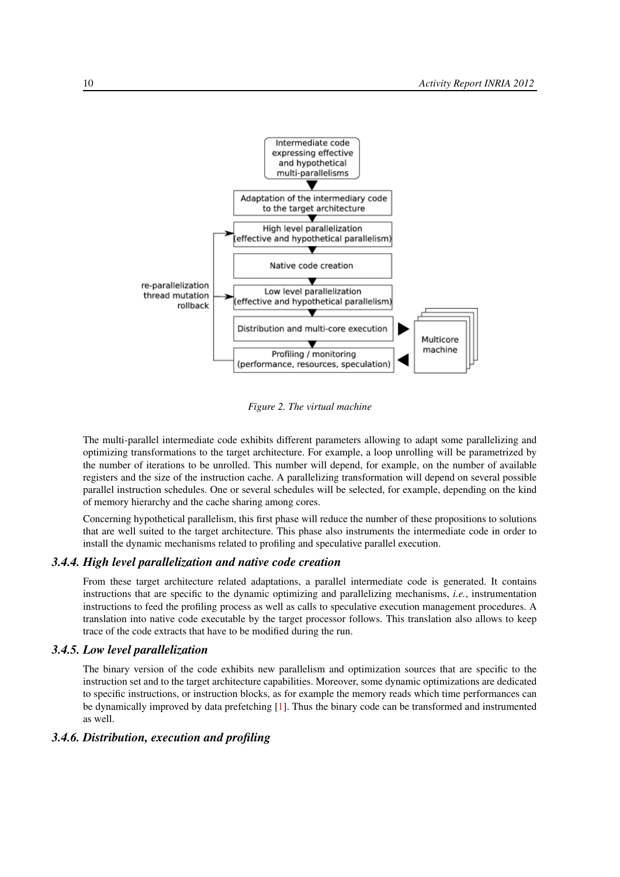<span id="page-13-3"></span>

*Figure 2. The virtual machine*

The multi-parallel intermediate code exhibits different parameters allowing to adapt some parallelizing and optimizing transformations to the target architecture. For example, a loop unrolling will be parametrized by the number of iterations to be unrolled. This number will depend, for example, on the number of available registers and the size of the instruction cache. A parallelizing transformation will depend on several possible parallel instruction schedules. One or several schedules will be selected, for example, depending on the kind of memory hierarchy and the cache sharing among cores.

Concerning hypothetical parallelism, this first phase will reduce the number of these propositions to solutions that are well suited to the target architecture. This phase also instruments the intermediate code in order to install the dynamic mechanisms related to profiling and speculative parallel execution.

### *3.4.4. High level parallelization and native code creation*

<span id="page-13-0"></span>From these target architecture related adaptations, a parallel intermediate code is generated. It contains instructions that are specific to the dynamic optimizing and parallelizing mechanisms, *i.e.*, instrumentation instructions to feed the profiling process as well as calls to speculative execution management procedures. A translation into native code executable by the target processor follows. This translation also allows to keep trace of the code extracts that have to be modified during the run.

#### *3.4.5. Low level parallelization*

<span id="page-13-1"></span>The binary version of the code exhibits new parallelism and optimization sources that are specific to the instruction set and to the target architecture capabilities. Moreover, some dynamic optimizations are dedicated to specific instructions, or instruction blocks, as for example the memory reads which time performances can be dynamically improved by data prefetching [\[1\]](#page-27-5). Thus the binary code can be transformed and instrumented as well.

## <span id="page-13-2"></span>*3.4.6. Distribution, execution and profiling*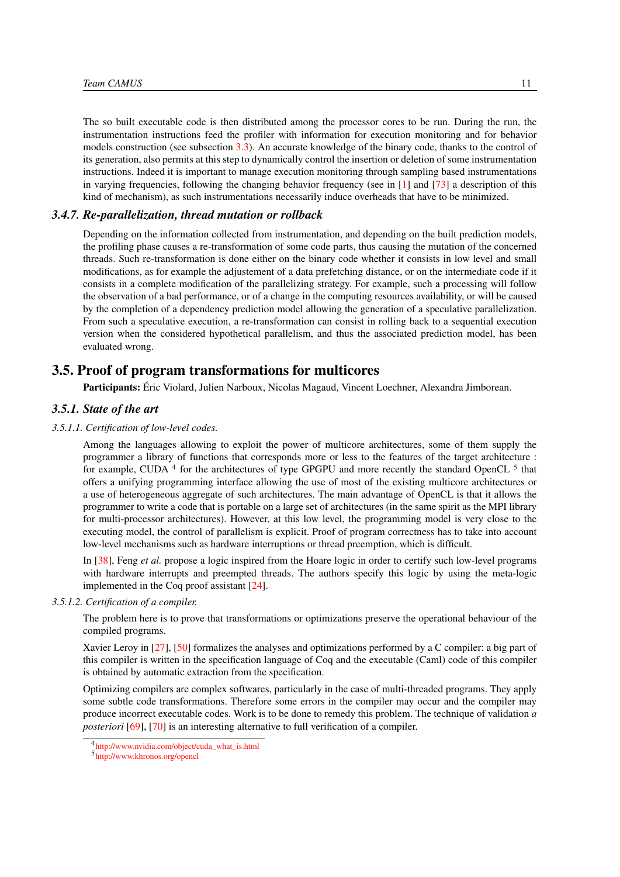The so built executable code is then distributed among the processor cores to be run. During the run, the instrumentation instructions feed the profiler with information for execution monitoring and for behavior models construction (see subsection [3.3\)](#page-8-0). An accurate knowledge of the binary code, thanks to the control of its generation, also permits at this step to dynamically control the insertion or deletion of some instrumentation instructions. Indeed it is important to manage execution monitoring through sampling based instrumentations in varying frequencies, following the changing behavior frequency (see in  $\lceil 1 \rceil$  and  $\lceil 73 \rceil$  a description of this kind of mechanism), as such instrumentations necessarily induce overheads that have to be minimized.

#### *3.4.7. Re-parallelization, thread mutation or rollback*

<span id="page-14-0"></span>Depending on the information collected from instrumentation, and depending on the built prediction models, the profiling phase causes a re-transformation of some code parts, thus causing the mutation of the concerned threads. Such re-transformation is done either on the binary code whether it consists in low level and small modifications, as for example the adjustement of a data prefetching distance, or on the intermediate code if it consists in a complete modification of the parallelizing strategy. For example, such a processing will follow the observation of a bad performance, or of a change in the computing resources availability, or will be caused by the completion of a dependency prediction model allowing the generation of a speculative parallelization. From such a speculative execution, a re-transformation can consist in rolling back to a sequential execution version when the considered hypothetical parallelism, and thus the associated prediction model, has been evaluated wrong.

# 3.5. Proof of program transformations for multicores

<span id="page-14-2"></span><span id="page-14-1"></span>Participants: Éric Violard, Julien Narboux, Nicolas Magaud, Vincent Loechner, Alexandra Jimborean.

# *3.5.1. State of the art*

#### *3.5.1.1. Certification of low-level codes.*

<span id="page-14-3"></span>Among the languages allowing to exploit the power of multicore architectures, some of them supply the programmer a library of functions that corresponds more or less to the features of the target architecture : for example, CUDA<sup>4</sup> for the architectures of type GPGPU and more recently the standard OpenCL<sup>5</sup> that offers a unifying programming interface allowing the use of most of the existing multicore architectures or a use of heterogeneous aggregate of such architectures. The main advantage of OpenCL is that it allows the programmer to write a code that is portable on a large set of architectures (in the same spirit as the MPI library for multi-processor architectures). However, at this low level, the programming model is very close to the executing model, the control of parallelism is explicit. Proof of program correctness has to take into account low-level mechanisms such as hardware interruptions or thread preemption, which is difficult.

In [\[38\]](#page-30-6), Feng *et al.* propose a logic inspired from the Hoare logic in order to certify such low-level programs with hardware interrupts and preempted threads. The authors specify this logic by using the meta-logic implemented in the Coq proof assistant [\[24\]](#page-29-5).

#### *3.5.1.2. Certification of a compiler.*

<span id="page-14-4"></span>The problem here is to prove that transformations or optimizations preserve the operational behaviour of the compiled programs.

Xavier Leroy in [\[27\]](#page-29-6), [\[50\]](#page-31-6) formalizes the analyses and optimizations performed by a C compiler: a big part of this compiler is written in the specification language of Coq and the executable (Caml) code of this compiler is obtained by automatic extraction from the specification.

Optimizing compilers are complex softwares, particularly in the case of multi-threaded programs. They apply some subtle code transformations. Therefore some errors in the compiler may occur and the compiler may produce incorrect executable codes. Work is to be done to remedy this problem. The technique of validation *a posteriori* [\[69\]](#page-32-9), [\[70\]](#page-32-10) is an interesting alternative to full verification of a compiler.

<sup>4</sup> [http://www.nvidia.com/object/cuda\\_what\\_is.html](http://www.nvidia.com/object/cuda_what_is.html)

<sup>5</sup> <http://www.khronos.org/opencl>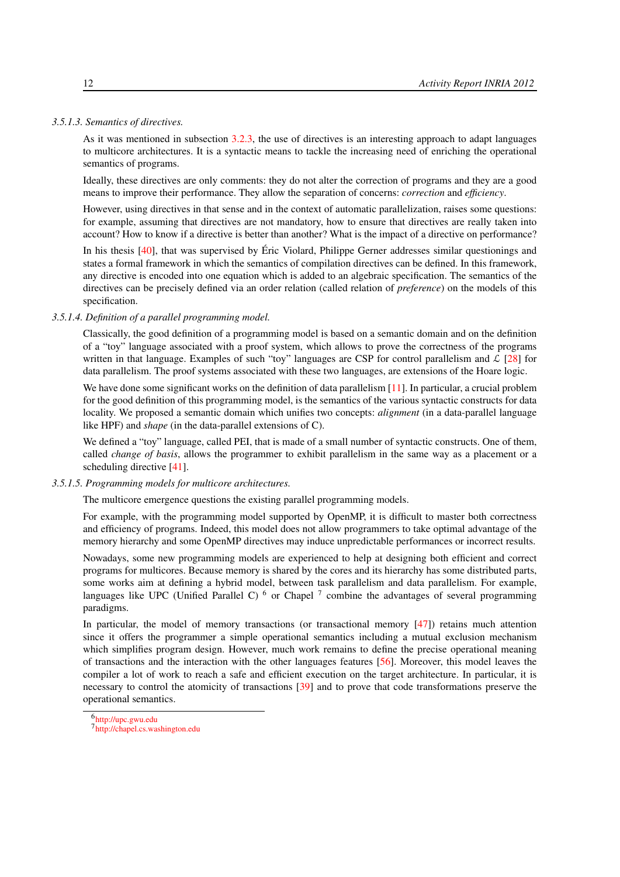#### *3.5.1.3. Semantics of directives.*

<span id="page-15-0"></span>As it was mentioned in subsection [3.2.3,](#page-7-1) the use of directives is an interesting approach to adapt languages to multicore architectures. It is a syntactic means to tackle the increasing need of enriching the operational semantics of programs.

Ideally, these directives are only comments: they do not alter the correction of programs and they are a good means to improve their performance. They allow the separation of concerns: *correction* and *efficiency*.

However, using directives in that sense and in the context of automatic parallelization, raises some questions: for example, assuming that directives are not mandatory, how to ensure that directives are really taken into account? How to know if a directive is better than another? What is the impact of a directive on performance?

In his thesis [\[40\]](#page-30-7), that was supervised by Éric Violard, Philippe Gerner addresses similar questionings and states a formal framework in which the semantics of compilation directives can be defined. In this framework, any directive is encoded into one equation which is added to an algebraic specification. The semantics of the directives can be precisely defined via an order relation (called relation of *preference*) on the models of this specification.

#### *3.5.1.4. Definition of a parallel programming model.*

<span id="page-15-1"></span>Classically, the good definition of a programming model is based on a semantic domain and on the definition of a "toy" language associated with a proof system, which allows to prove the correctness of the programs written in that language. Examples of such "toy" languages are CSP for control parallelism and  $\mathcal{L}$  [\[28\]](#page-29-7) for data parallelism. The proof systems associated with these two languages, are extensions of the Hoare logic.

We have done some significant works on the definition of data parallelism [\[11\]](#page-28-2). In particular, a crucial problem for the good definition of this programming model, is the semantics of the various syntactic constructs for data locality. We proposed a semantic domain which unifies two concepts: *alignment* (in a data-parallel language like HPF) and *shape* (in the data-parallel extensions of C).

We defined a "toy" language, called PEI, that is made of a small number of syntactic constructs. One of them, called *change of basis*, allows the programmer to exhibit parallelism in the same way as a placement or a scheduling directive [\[41\]](#page-30-8).

#### *3.5.1.5. Programming models for multicore architectures.*

<span id="page-15-2"></span>The multicore emergence questions the existing parallel programming models.

For example, with the programming model supported by OpenMP, it is difficult to master both correctness and efficiency of programs. Indeed, this model does not allow programmers to take optimal advantage of the memory hierarchy and some OpenMP directives may induce unpredictable performances or incorrect results.

Nowadays, some new programming models are experienced to help at designing both efficient and correct programs for multicores. Because memory is shared by the cores and its hierarchy has some distributed parts, some works aim at defining a hybrid model, between task parallelism and data parallelism. For example, languages like UPC (Unified Parallel C)  $<sup>6</sup>$  or Chapel  $<sup>7</sup>$  combine the advantages of several programming</sup></sup> paradigms.

In particular, the model of memory transactions (or transactional memory  $[47]$ ) retains much attention since it offers the programmer a simple operational semantics including a mutual exclusion mechanism which simplifies program design. However, much work remains to define the precise operational meaning of transactions and the interaction with the other languages features [\[56\]](#page-31-8). Moreover, this model leaves the compiler a lot of work to reach a safe and efficient execution on the target architecture. In particular, it is necessary to control the atomicity of transactions [\[39\]](#page-30-9) and to prove that code transformations preserve the operational semantics.

<sup>6</sup> <http://upc.gwu.edu>

<sup>7</sup> <http://chapel.cs.washington.edu>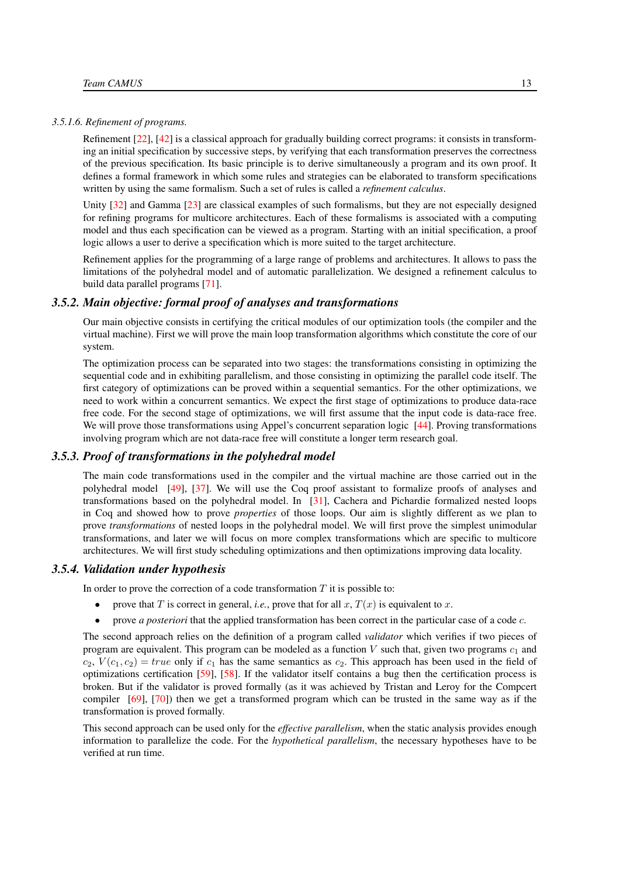#### *3.5.1.6. Refinement of programs.*

<span id="page-16-0"></span>Refinement [\[22\]](#page-29-8), [\[42\]](#page-30-10) is a classical approach for gradually building correct programs: it consists in transforming an initial specification by successive steps, by verifying that each transformation preserves the correctness of the previous specification. Its basic principle is to derive simultaneously a program and its own proof. It defines a formal framework in which some rules and strategies can be elaborated to transform specifications written by using the same formalism. Such a set of rules is called a *refinement calculus*.

Unity [\[32\]](#page-30-11) and Gamma [\[23\]](#page-29-9) are classical examples of such formalisms, but they are not especially designed for refining programs for multicore architectures. Each of these formalisms is associated with a computing model and thus each specification can be viewed as a program. Starting with an initial specification, a proof logic allows a user to derive a specification which is more suited to the target architecture.

Refinement applies for the programming of a large range of problems and architectures. It allows to pass the limitations of the polyhedral model and of automatic parallelization. We designed a refinement calculus to build data parallel programs [\[71\]](#page-32-11).

# *3.5.2. Main objective: formal proof of analyses and transformations*

<span id="page-16-1"></span>Our main objective consists in certifying the critical modules of our optimization tools (the compiler and the virtual machine). First we will prove the main loop transformation algorithms which constitute the core of our system.

The optimization process can be separated into two stages: the transformations consisting in optimizing the sequential code and in exhibiting parallelism, and those consisting in optimizing the parallel code itself. The first category of optimizations can be proved within a sequential semantics. For the other optimizations, we need to work within a concurrent semantics. We expect the first stage of optimizations to produce data-race free code. For the second stage of optimizations, we will first assume that the input code is data-race free. We will prove those transformations using Appel's concurrent separation logic [\[44\]](#page-30-12). Proving transformations involving program which are not data-race free will constitute a longer term research goal.

#### *3.5.3. Proof of transformations in the polyhedral model*

<span id="page-16-2"></span>The main code transformations used in the compiler and the virtual machine are those carried out in the polyhedral model [\[49\]](#page-31-9), [\[37\]](#page-30-13). We will use the Coq proof assistant to formalize proofs of analyses and transformations based on the polyhedral model. In [\[31\]](#page-29-10), Cachera and Pichardie formalized nested loops in Coq and showed how to prove *properties* of those loops. Our aim is slightly different as we plan to prove *transformations* of nested loops in the polyhedral model. We will first prove the simplest unimodular transformations, and later we will focus on more complex transformations which are specific to multicore architectures. We will first study scheduling optimizations and then optimizations improving data locality.

#### *3.5.4. Validation under hypothesis*

<span id="page-16-3"></span>In order to prove the correction of a code transformation  $T$  it is possible to:

- prove that T is correct in general, *i.e.*, prove that for all  $x, T(x)$  is equivalent to  $x$ .
- prove *a posteriori* that the applied transformation has been correct in the particular case of a code *c*.

The second approach relies on the definition of a program called *validator* which verifies if two pieces of program are equivalent. This program can be modeled as a function  $V$  such that, given two programs  $c_1$  and  $c_2$ ,  $V(c_1, c_2) = true$  only if  $c_1$  has the same semantics as  $c_2$ . This approach has been used in the field of optimizations certification [\[59\]](#page-31-10), [\[58\]](#page-31-11). If the validator itself contains a bug then the certification process is broken. But if the validator is proved formally (as it was achieved by Tristan and Leroy for the Compcert compiler [\[69\]](#page-32-9), [\[70\]](#page-32-10)) then we get a transformed program which can be trusted in the same way as if the transformation is proved formally.

This second approach can be used only for the *effective parallelism*, when the static analysis provides enough information to parallelize the code. For the *hypothetical parallelism*, the necessary hypotheses have to be verified at run time.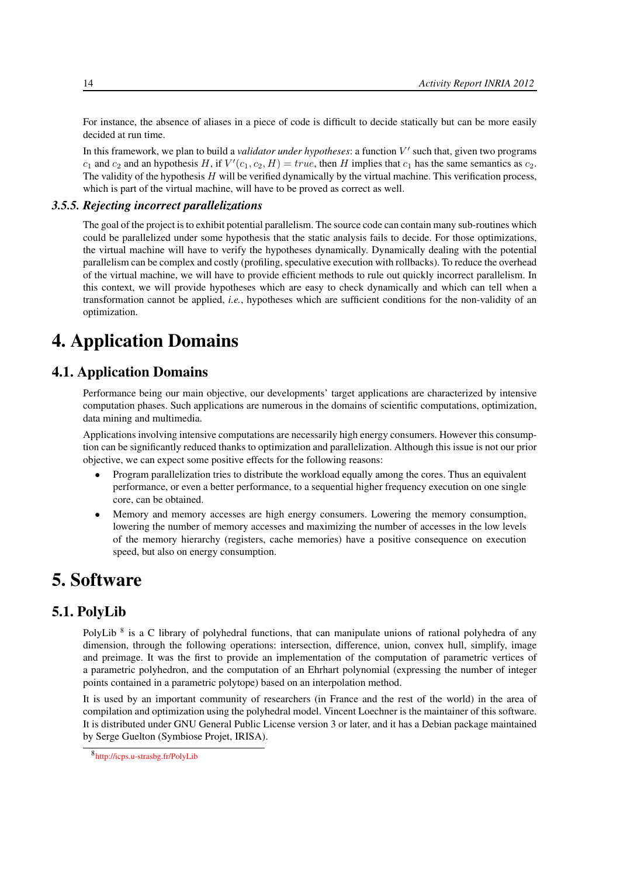For instance, the absence of aliases in a piece of code is difficult to decide statically but can be more easily decided at run time.

In this framework, we plan to build a *validator under hypotheses*: a function V' such that, given two programs  $c_1$  and  $c_2$  and an hypothesis H, if  $V'(c_1, c_2, H) = true$ , then H implies that  $c_1$  has the same semantics as  $c_2$ . The validity of the hypothesis  $H$  will be verified dynamically by the virtual machine. This verification process, which is part of the virtual machine, will have to be proved as correct as well.

#### *3.5.5. Rejecting incorrect parallelizations*

<span id="page-17-0"></span>The goal of the project is to exhibit potential parallelism. The source code can contain many sub-routines which could be parallelized under some hypothesis that the static analysis fails to decide. For those optimizations, the virtual machine will have to verify the hypotheses dynamically. Dynamically dealing with the potential parallelism can be complex and costly (profiling, speculative execution with rollbacks). To reduce the overhead of the virtual machine, we will have to provide efficient methods to rule out quickly incorrect parallelism. In this context, we will provide hypotheses which are easy to check dynamically and which can tell when a transformation cannot be applied, *i.e.*, hypotheses which are sufficient conditions for the non-validity of an optimization.

# <span id="page-17-1"></span>4. Application Domains

# 4.1. Application Domains

Performance being our main objective, our developments' target applications are characterized by intensive computation phases. Such applications are numerous in the domains of scientific computations, optimization, data mining and multimedia.

Applications involving intensive computations are necessarily high energy consumers. However this consumption can be significantly reduced thanks to optimization and parallelization. Although this issue is not our prior objective, we can expect some positive effects for the following reasons:

- Program parallelization tries to distribute the workload equally among the cores. Thus an equivalent performance, or even a better performance, to a sequential higher frequency execution on one single core, can be obtained.
- Memory and memory accesses are high energy consumers. Lowering the memory consumption, lowering the number of memory accesses and maximizing the number of accesses in the low levels of the memory hierarchy (registers, cache memories) have a positive consequence on execution speed, but also on energy consumption.

# <span id="page-17-2"></span>5. Software

# 5.1. PolyLib

<span id="page-17-3"></span>PolyLib <sup>8</sup> is a C library of polyhedral functions, that can manipulate unions of rational polyhedra of any dimension, through the following operations: intersection, difference, union, convex hull, simplify, image and preimage. It was the first to provide an implementation of the computation of parametric vertices of a parametric polyhedron, and the computation of an Ehrhart polynomial (expressing the number of integer points contained in a parametric polytope) based on an interpolation method.

It is used by an important community of researchers (in France and the rest of the world) in the area of compilation and optimization using the polyhedral model. Vincent Loechner is the maintainer of this software. It is distributed under GNU General Public License version 3 or later, and it has a Debian package maintained by Serge Guelton (Symbiose Projet, IRISA).

<sup>8</sup> <http://icps.u-strasbg.fr/PolyLib>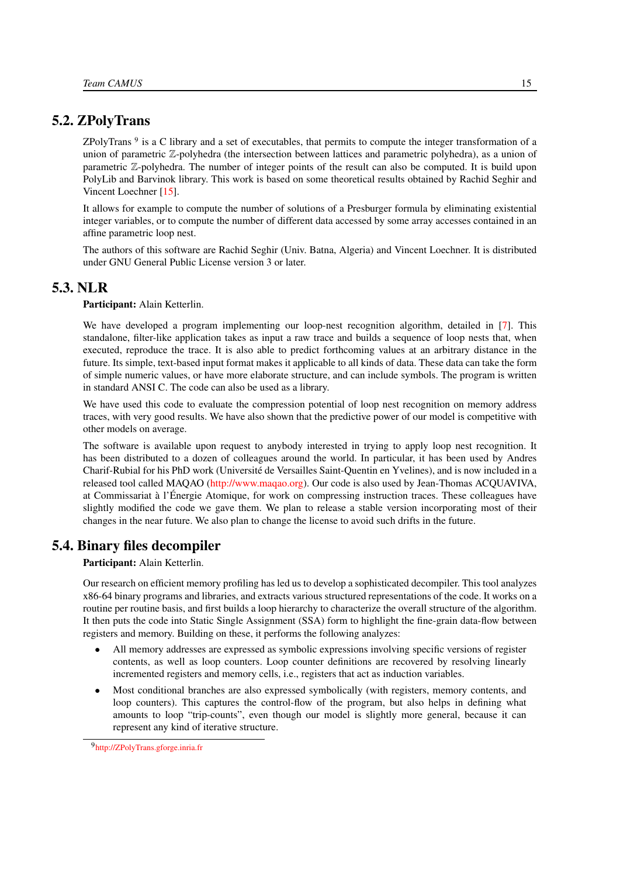# 5.2. ZPolyTrans

<span id="page-18-0"></span>ZPolyTrans<sup>9</sup> is a C library and a set of executables, that permits to compute the integer transformation of a union of parametric Z-polyhedra (the intersection between lattices and parametric polyhedra), as a union of parametric Z-polyhedra. The number of integer points of the result can also be computed. It is build upon PolyLib and Barvinok library. This work is based on some theoretical results obtained by Rachid Seghir and Vincent Loechner [\[15\]](#page-28-3).

It allows for example to compute the number of solutions of a Presburger formula by eliminating existential integer variables, or to compute the number of different data accessed by some array accesses contained in an affine parametric loop nest.

The authors of this software are Rachid Seghir (Univ. Batna, Algeria) and Vincent Loechner. It is distributed under GNU General Public License version 3 or later.

# 5.3. NLR

<span id="page-18-1"></span>Participant: Alain Ketterlin.

We have developed a program implementing our loop-nest recognition algorithm, detailed in [\[7\]](#page-27-6). This standalone, filter-like application takes as input a raw trace and builds a sequence of loop nests that, when executed, reproduce the trace. It is also able to predict forthcoming values at an arbitrary distance in the future. Its simple, text-based input format makes it applicable to all kinds of data. These data can take the form of simple numeric values, or have more elaborate structure, and can include symbols. The program is written in standard ANSI C. The code can also be used as a library.

We have used this code to evaluate the compression potential of loop nest recognition on memory address traces, with very good results. We have also shown that the predictive power of our model is competitive with other models on average.

The software is available upon request to anybody interested in trying to apply loop nest recognition. It has been distributed to a dozen of colleagues around the world. In particular, it has been used by Andres Charif-Rubial for his PhD work (Université de Versailles Saint-Quentin en Yvelines), and is now included in a released tool called MAQAO [\(http://www.maqao.org\)](http://www.maqao.org). Our code is also used by Jean-Thomas ACQUAVIVA, at Commissariat à l'Énergie Atomique, for work on compressing instruction traces. These colleagues have slightly modified the code we gave them. We plan to release a stable version incorporating most of their changes in the near future. We also plan to change the license to avoid such drifts in the future.

# 5.4. Binary files decompiler

<span id="page-18-2"></span>Participant: Alain Ketterlin.

Our research on efficient memory profiling has led us to develop a sophisticated decompiler. This tool analyzes x86-64 binary programs and libraries, and extracts various structured representations of the code. It works on a routine per routine basis, and first builds a loop hierarchy to characterize the overall structure of the algorithm. It then puts the code into Static Single Assignment (SSA) form to highlight the fine-grain data-flow between registers and memory. Building on these, it performs the following analyzes:

- All memory addresses are expressed as symbolic expressions involving specific versions of register contents, as well as loop counters. Loop counter definitions are recovered by resolving linearly incremented registers and memory cells, i.e., registers that act as induction variables.
- Most conditional branches are also expressed symbolically (with registers, memory contents, and loop counters). This captures the control-flow of the program, but also helps in defining what amounts to loop "trip-counts", even though our model is slightly more general, because it can represent any kind of iterative structure.

<sup>9</sup><http://ZPolyTrans.gforge.inria.fr>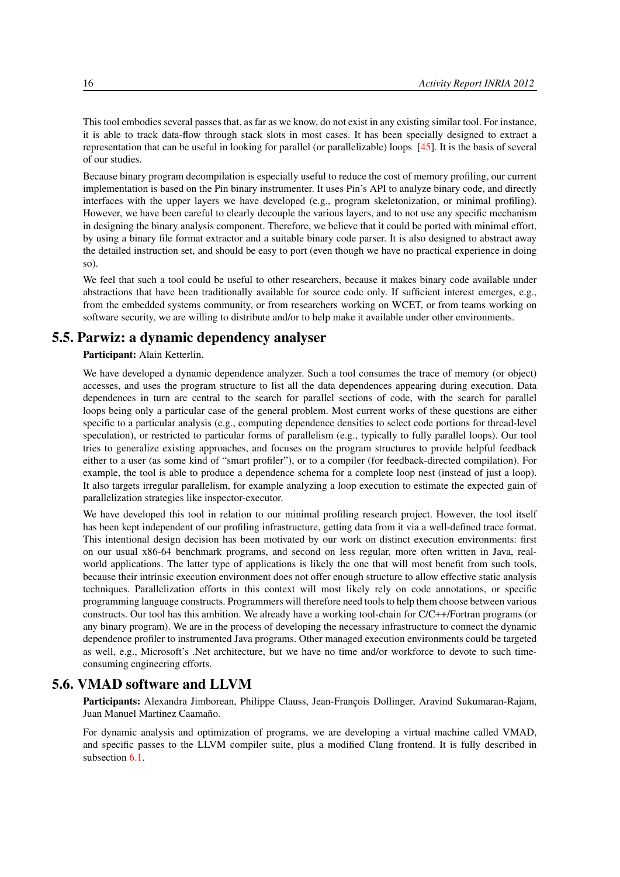This tool embodies several passes that, as far as we know, do not exist in any existing similar tool. For instance, it is able to track data-flow through stack slots in most cases. It has been specially designed to extract a representation that can be useful in looking for parallel (or parallelizable) loops [\[45\]](#page-30-14). It is the basis of several of our studies.

Because binary program decompilation is especially useful to reduce the cost of memory profiling, our current implementation is based on the Pin binary instrumenter. It uses Pin's API to analyze binary code, and directly interfaces with the upper layers we have developed (e.g., program skeletonization, or minimal profiling). However, we have been careful to clearly decouple the various layers, and to not use any specific mechanism in designing the binary analysis component. Therefore, we believe that it could be ported with minimal effort, by using a binary file format extractor and a suitable binary code parser. It is also designed to abstract away the detailed instruction set, and should be easy to port (even though we have no practical experience in doing so).

We feel that such a tool could be useful to other researchers, because it makes binary code available under abstractions that have been traditionally available for source code only. If sufficient interest emerges, e.g., from the embedded systems community, or from researchers working on WCET, or from teams working on software security, we are willing to distribute and/or to help make it available under other environments.

# 5.5. Parwiz: a dynamic dependency analyser

## <span id="page-19-0"></span>Participant: Alain Ketterlin.

We have developed a dynamic dependence analyzer. Such a tool consumes the trace of memory (or object) accesses, and uses the program structure to list all the data dependences appearing during execution. Data dependences in turn are central to the search for parallel sections of code, with the search for parallel loops being only a particular case of the general problem. Most current works of these questions are either specific to a particular analysis (e.g., computing dependence densities to select code portions for thread-level speculation), or restricted to particular forms of parallelism (e.g., typically to fully parallel loops). Our tool tries to generalize existing approaches, and focuses on the program structures to provide helpful feedback either to a user (as some kind of "smart profiler"), or to a compiler (for feedback-directed compilation). For example, the tool is able to produce a dependence schema for a complete loop nest (instead of just a loop). It also targets irregular parallelism, for example analyzing a loop execution to estimate the expected gain of parallelization strategies like inspector-executor.

We have developed this tool in relation to our minimal profiling research project. However, the tool itself has been kept independent of our profiling infrastructure, getting data from it via a well-defined trace format. This intentional design decision has been motivated by our work on distinct execution environments: first on our usual x86-64 benchmark programs, and second on less regular, more often written in Java, realworld applications. The latter type of applications is likely the one that will most benefit from such tools, because their intrinsic execution environment does not offer enough structure to allow effective static analysis techniques. Parallelization efforts in this context will most likely rely on code annotations, or specific programming language constructs. Programmers will therefore need tools to help them choose between various constructs. Our tool has this ambition. We already have a working tool-chain for C/C++/Fortran programs (or any binary program). We are in the process of developing the necessary infrastructure to connect the dynamic dependence profiler to instrumented Java programs. Other managed execution environments could be targeted as well, e.g., Microsoft's .Net architecture, but we have no time and/or workforce to devote to such timeconsuming engineering efforts.

# 5.6. VMAD software and LLVM

<span id="page-19-1"></span>Participants: Alexandra Jimborean, Philippe Clauss, Jean-François Dollinger, Aravind Sukumaran-Rajam, Juan Manuel Martinez Caamaño.

For dynamic analysis and optimization of programs, we are developing a virtual machine called VMAD, and specific passes to the LLVM compiler suite, plus a modified Clang frontend. It is fully described in subsection [6.1.](#page-20-2)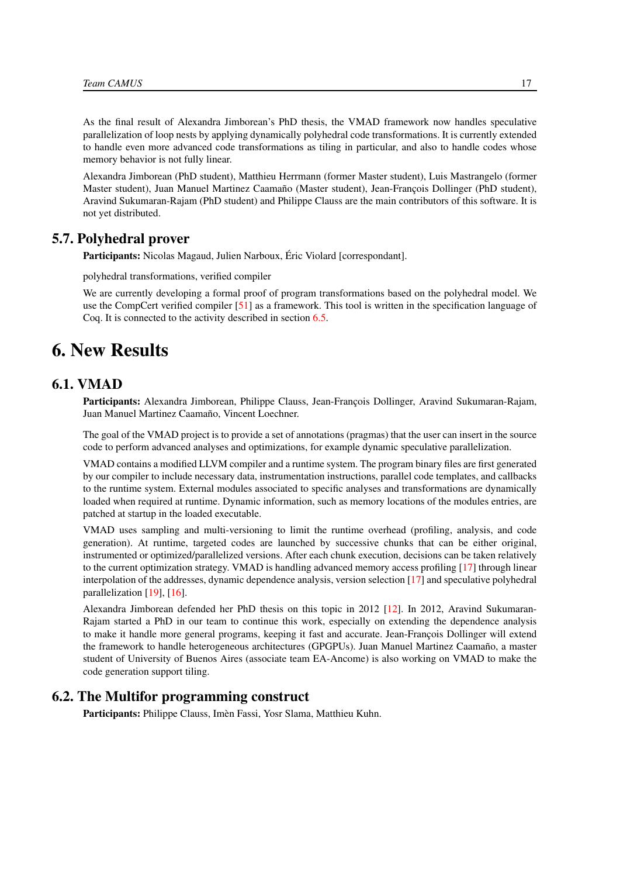As the final result of Alexandra Jimborean's PhD thesis, the VMAD framework now handles speculative parallelization of loop nests by applying dynamically polyhedral code transformations. It is currently extended to handle even more advanced code transformations as tiling in particular, and also to handle codes whose memory behavior is not fully linear.

Alexandra Jimborean (PhD student), Matthieu Herrmann (former Master student), Luis Mastrangelo (former Master student), Juan Manuel Martinez Caamaño (Master student), Jean-François Dollinger (PhD student), Aravind Sukumaran-Rajam (PhD student) and Philippe Clauss are the main contributors of this software. It is not yet distributed.

# 5.7. Polyhedral prover

<span id="page-20-0"></span>Participants: Nicolas Magaud, Julien Narboux, Éric Violard [correspondant].

polyhedral transformations, verified compiler

We are currently developing a formal proof of program transformations based on the polyhedral model. We use the CompCert verified compiler [\[51\]](#page-31-12) as a framework. This tool is written in the specification language of Coq. It is connected to the activity described in section [6.5.](#page-22-1)

# <span id="page-20-1"></span>6. New Results

# 6.1. VMAD

<span id="page-20-2"></span>Participants: Alexandra Jimborean, Philippe Clauss, Jean-François Dollinger, Aravind Sukumaran-Rajam, Juan Manuel Martinez Caamaño, Vincent Loechner.

The goal of the VMAD project is to provide a set of annotations (pragmas) that the user can insert in the source code to perform advanced analyses and optimizations, for example dynamic speculative parallelization.

VMAD contains a modified LLVM compiler and a runtime system. The program binary files are first generated by our compiler to include necessary data, instrumentation instructions, parallel code templates, and callbacks to the runtime system. External modules associated to specific analyses and transformations are dynamically loaded when required at runtime. Dynamic information, such as memory locations of the modules entries, are patched at startup in the loaded executable.

VMAD uses sampling and multi-versioning to limit the runtime overhead (profiling, analysis, and code generation). At runtime, targeted codes are launched by successive chunks that can be either original, instrumented or optimized/parallelized versions. After each chunk execution, decisions can be taken relatively to the current optimization strategy. VMAD is handling advanced memory access profiling [\[17\]](#page-28-4) through linear interpolation of the addresses, dynamic dependence analysis, version selection [\[17\]](#page-28-4) and speculative polyhedral parallelization [\[19\]](#page-28-5), [\[16\]](#page-28-6).

Alexandra Jimborean defended her PhD thesis on this topic in 2012 [\[12\]](#page-28-7). In 2012, Aravind Sukumaran-Rajam started a PhD in our team to continue this work, especially on extending the dependence analysis to make it handle more general programs, keeping it fast and accurate. Jean-François Dollinger will extend the framework to handle heterogeneous architectures (GPGPUs). Juan Manuel Martinez Caamaño, a master student of University of Buenos Aires (associate team EA-Ancome) is also working on VMAD to make the code generation support tiling.

# 6.2. The Multifor programming construct

<span id="page-20-3"></span>Participants: Philippe Clauss, Imèn Fassi, Yosr Slama, Matthieu Kuhn.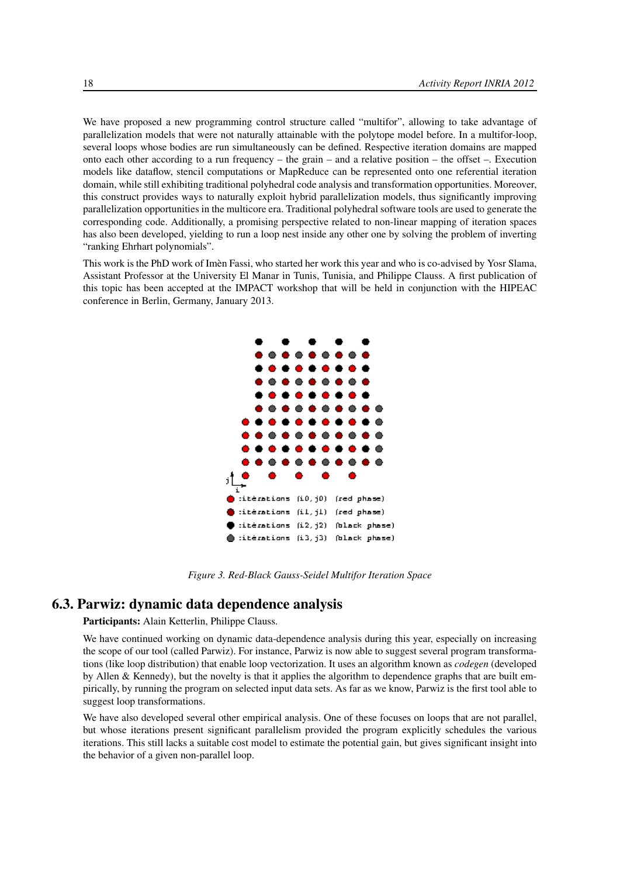We have proposed a new programming control structure called "multifor", allowing to take advantage of parallelization models that were not naturally attainable with the polytope model before. In a multifor-loop, several loops whose bodies are run simultaneously can be defined. Respective iteration domains are mapped onto each other according to a run frequency – the grain – and a relative position – the offset –. Execution models like dataflow, stencil computations or MapReduce can be represented onto one referential iteration domain, while still exhibiting traditional polyhedral code analysis and transformation opportunities. Moreover, this construct provides ways to naturally exploit hybrid parallelization models, thus significantly improving parallelization opportunities in the multicore era. Traditional polyhedral software tools are used to generate the corresponding code. Additionally, a promising perspective related to non-linear mapping of iteration spaces has also been developed, yielding to run a loop nest inside any other one by solving the problem of inverting "ranking Ehrhart polynomials".

This work is the PhD work of Imèn Fassi, who started her work this year and who is co-advised by Yosr Slama, Assistant Professor at the University El Manar in Tunis, Tunisia, and Philippe Clauss. A first publication of this topic has been accepted at the IMPACT workshop that will be held in conjunction with the HIPEAC conference in Berlin, Germany, January 2013.



*Figure 3. Red-Black Gauss-Seidel Multifor Iteration Space*

# 6.3. Parwiz: dynamic data dependence analysis

# <span id="page-21-0"></span>Participants: Alain Ketterlin, Philippe Clauss.

We have continued working on dynamic data-dependence analysis during this year, especially on increasing the scope of our tool (called Parwiz). For instance, Parwiz is now able to suggest several program transformations (like loop distribution) that enable loop vectorization. It uses an algorithm known as *codegen* (developed by Allen & Kennedy), but the novelty is that it applies the algorithm to dependence graphs that are built empirically, by running the program on selected input data sets. As far as we know, Parwiz is the first tool able to suggest loop transformations.

We have also developed several other empirical analysis. One of these focuses on loops that are not parallel, but whose iterations present significant parallelism provided the program explicitly schedules the various iterations. This still lacks a suitable cost model to estimate the potential gain, but gives significant insight into the behavior of a given non-parallel loop.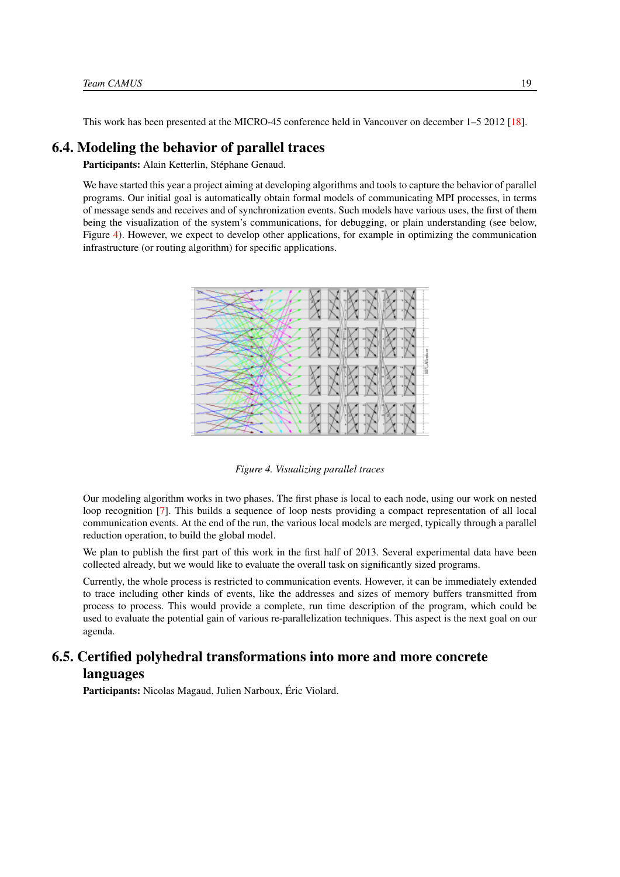<span id="page-22-0"></span>This work has been presented at the MICRO-45 conference held in Vancouver on december 1–5 2012 [\[18\]](#page-28-0).

# 6.4. Modeling the behavior of parallel traces

Participants: Alain Ketterlin, Stéphane Genaud.

<span id="page-22-2"></span>We have started this year a project aiming at developing algorithms and tools to capture the behavior of parallel programs. Our initial goal is automatically obtain formal models of communicating MPI processes, in terms of message sends and receives and of synchronization events. Such models have various uses, the first of them being the visualization of the system's communications, for debugging, or plain understanding (see below, Figure [4\)](#page-22-2). However, we expect to develop other applications, for example in optimizing the communication infrastructure (or routing algorithm) for specific applications.



*Figure 4. Visualizing parallel traces*

Our modeling algorithm works in two phases. The first phase is local to each node, using our work on nested loop recognition [\[7\]](#page-27-6). This builds a sequence of loop nests providing a compact representation of all local communication events. At the end of the run, the various local models are merged, typically through a parallel reduction operation, to build the global model.

We plan to publish the first part of this work in the first half of 2013. Several experimental data have been collected already, but we would like to evaluate the overall task on significantly sized programs.

Currently, the whole process is restricted to communication events. However, it can be immediately extended to trace including other kinds of events, like the addresses and sizes of memory buffers transmitted from process to process. This would provide a complete, run time description of the program, which could be used to evaluate the potential gain of various re-parallelization techniques. This aspect is the next goal on our agenda.

# <span id="page-22-1"></span>6.5. Certified polyhedral transformations into more and more concrete languages

Participants: Nicolas Magaud, Julien Narboux, Éric Violard.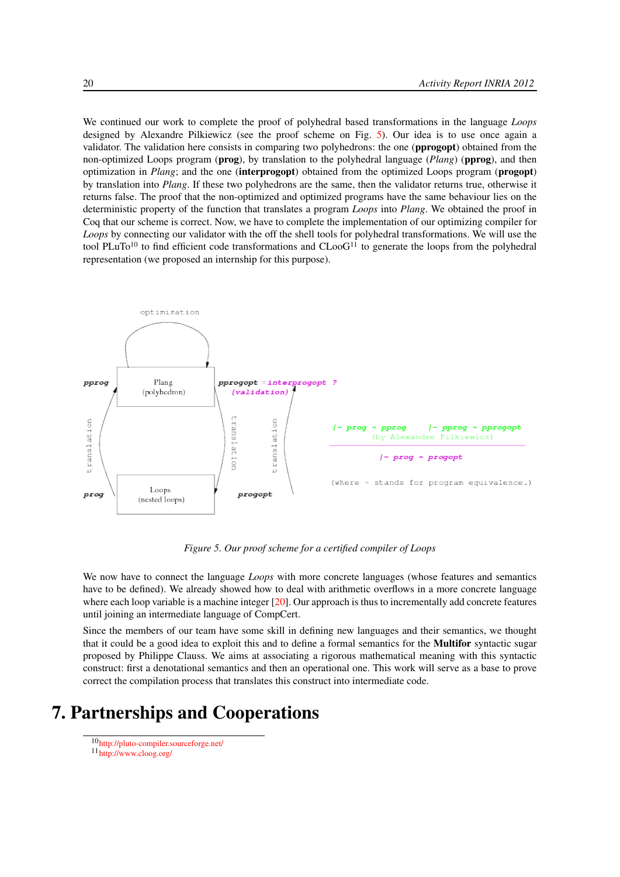We continued our work to complete the proof of polyhedral based transformations in the language *Loops* designed by Alexandre Pilkiewicz (see the proof scheme on Fig. [5\)](#page-23-1). Our idea is to use once again a validator. The validation here consists in comparing two polyhedrons: the one (pprogopt) obtained from the non-optimized Loops program (prog), by translation to the polyhedral language (*Plang*) (pprog), and then optimization in *Plang*; and the one (interprogopt) obtained from the optimized Loops program (progopt) by translation into *Plang*. If these two polyhedrons are the same, then the validator returns true, otherwise it returns false. The proof that the non-optimized and optimized programs have the same behaviour lies on the deterministic property of the function that translates a program *Loops* into *Plang*. We obtained the proof in Coq that our scheme is correct. Now, we have to complete the implementation of our optimizing compiler for *Loops* by connecting our validator with the off the shell tools for polyhedral transformations. We will use the tool PLuTo<sup>10</sup> to find efficient code transformations and  $C$ Loo $G$ <sup>11</sup> to generate the loops from the polyhedral representation (we proposed an internship for this purpose).

<span id="page-23-1"></span>

*Figure 5. Our proof scheme for a certified compiler of Loops*

We now have to connect the language *Loops* with more concrete languages (whose features and semantics have to be defined). We already showed how to deal with arithmetic overflows in a more concrete language where each loop variable is a machine integer  $[20]$ . Our approach is thus to incrementally add concrete features until joining an intermediate language of CompCert.

Since the members of our team have some skill in defining new languages and their semantics, we thought that it could be a good idea to exploit this and to define a formal semantics for the Multifor syntactic sugar proposed by Philippe Clauss. We aims at associating a rigorous mathematical meaning with this syntactic construct: first a denotational semantics and then an operational one. This work will serve as a base to prove correct the compilation process that translates this construct into intermediate code.

# <span id="page-23-0"></span>7. Partnerships and Cooperations

<sup>10</sup><http://pluto-compiler.sourceforge.net/>

 $11 \frac{mT T T}{h t t p}$ //www.cloog.org/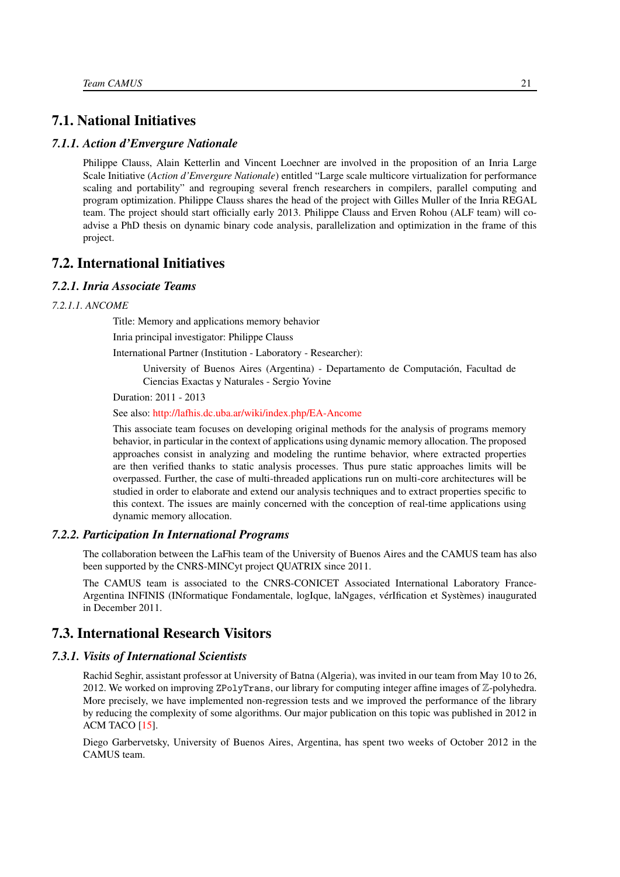# <span id="page-24-0"></span>7.1. National Initiatives

## *7.1.1. Action d'Envergure Nationale*

Philippe Clauss, Alain Ketterlin and Vincent Loechner are involved in the proposition of an Inria Large Scale Initiative (*Action d'Envergure Nationale*) entitled "Large scale multicore virtualization for performance scaling and portability" and regrouping several french researchers in compilers, parallel computing and program optimization. Philippe Clauss shares the head of the project with Gilles Muller of the Inria REGAL team. The project should start officially early 2013. Philippe Clauss and Erven Rohou (ALF team) will coadvise a PhD thesis on dynamic binary code analysis, parallelization and optimization in the frame of this project.

# <span id="page-24-1"></span>7.2. International Initiatives

## <span id="page-24-2"></span>*7.2.1. Inria Associate Teams*

#### *7.2.1.1. ANCOME*

Title: Memory and applications memory behavior

Inria principal investigator: Philippe Clauss

International Partner (Institution - Laboratory - Researcher):

University of Buenos Aires (Argentina) - Departamento de Computación, Facultad de Ciencias Exactas y Naturales - Sergio Yovine

Duration: 2011 - 2013

See also: <http://lafhis.dc.uba.ar/wiki/index.php/EA-Ancome>

This associate team focuses on developing original methods for the analysis of programs memory behavior, in particular in the context of applications using dynamic memory allocation. The proposed approaches consist in analyzing and modeling the runtime behavior, where extracted properties are then verified thanks to static analysis processes. Thus pure static approaches limits will be overpassed. Further, the case of multi-threaded applications run on multi-core architectures will be studied in order to elaborate and extend our analysis techniques and to extract properties specific to this context. The issues are mainly concerned with the conception of real-time applications using dynamic memory allocation.

### *7.2.2. Participation In International Programs*

<span id="page-24-3"></span>The collaboration between the LaFhis team of the University of Buenos Aires and the CAMUS team has also been supported by the CNRS-MINCyt project QUATRIX since 2011.

The CAMUS team is associated to the CNRS-CONICET Associated International Laboratory France-Argentina INFINIS (INformatique Fondamentale, logIque, laNgages, vérIfication et Systèmes) inaugurated in December 2011.

# <span id="page-24-4"></span>7.3. International Research Visitors

## *7.3.1. Visits of International Scientists*

<span id="page-24-5"></span>Rachid Seghir, assistant professor at University of Batna (Algeria), was invited in our team from May 10 to 26, 2012. We worked on improving ZPolyTrans, our library for computing integer affine images of Z-polyhedra. More precisely, we have implemented non-regression tests and we improved the performance of the library by reducing the complexity of some algorithms. Our major publication on this topic was published in 2012 in ACM TACO [\[15\]](#page-28-3).

Diego Garbervetsky, University of Buenos Aires, Argentina, has spent two weeks of October 2012 in the CAMUS team.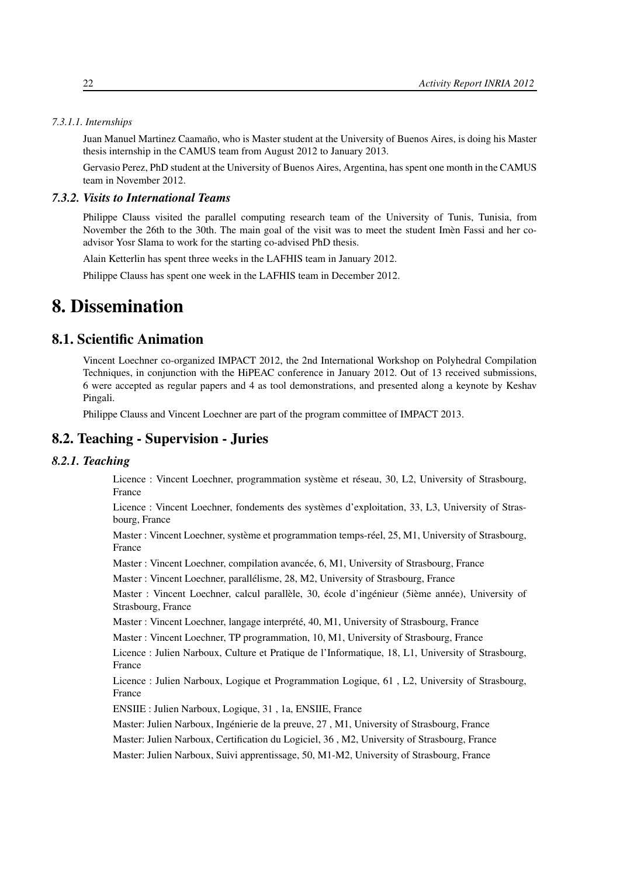#### *7.3.1.1. Internships*

Juan Manuel Martinez Caamaño, who is Master student at the University of Buenos Aires, is doing his Master thesis internship in the CAMUS team from August 2012 to January 2013.

<span id="page-25-0"></span>Gervasio Perez, PhD student at the University of Buenos Aires, Argentina, has spent one month in the CAMUS team in November 2012.

# *7.3.2. Visits to International Teams*

Philippe Clauss visited the parallel computing research team of the University of Tunis, Tunisia, from November the 26th to the 30th. The main goal of the visit was to meet the student Imèn Fassi and her coadvisor Yosr Slama to work for the starting co-advised PhD thesis.

Alain Ketterlin has spent three weeks in the LAFHIS team in January 2012.

<span id="page-25-1"></span>Philippe Clauss has spent one week in the LAFHIS team in December 2012.

# 8. Dissemination

# 8.1. Scientific Animation

<span id="page-25-2"></span>Vincent Loechner co-organized IMPACT 2012, the 2nd International Workshop on Polyhedral Compilation Techniques, in conjunction with the HiPEAC conference in January 2012. Out of 13 received submissions, 6 were accepted as regular papers and 4 as tool demonstrations, and presented along a keynote by Keshav Pingali.

<span id="page-25-3"></span>Philippe Clauss and Vincent Loechner are part of the program committee of IMPACT 2013.

# 8.2. Teaching - Supervision - Juries

# <span id="page-25-4"></span>*8.2.1. Teaching*

Licence : Vincent Loechner, programmation système et réseau, 30, L2, University of Strasbourg, France

Licence : Vincent Loechner, fondements des systèmes d'exploitation, 33, L3, University of Strasbourg, France

Master : Vincent Loechner, système et programmation temps-réel, 25, M1, University of Strasbourg, France

Master : Vincent Loechner, compilation avancée, 6, M1, University of Strasbourg, France

Master : Vincent Loechner, parallélisme, 28, M2, University of Strasbourg, France

Master : Vincent Loechner, calcul parallèle, 30, école d'ingénieur (5ième année), University of Strasbourg, France

Master : Vincent Loechner, langage interprété, 40, M1, University of Strasbourg, France

Master : Vincent Loechner, TP programmation, 10, M1, University of Strasbourg, France

Licence : Julien Narboux, Culture et Pratique de l'Informatique, 18, L1, University of Strasbourg, France

Licence : Julien Narboux, Logique et Programmation Logique, 61 , L2, University of Strasbourg, France

ENSIIE : Julien Narboux, Logique, 31 , 1a, ENSIIE, France

Master: Julien Narboux, Ingénierie de la preuve, 27 , M1, University of Strasbourg, France

Master: Julien Narboux, Certification du Logiciel, 36 , M2, University of Strasbourg, France

Master: Julien Narboux, Suivi apprentissage, 50, M1-M2, University of Strasbourg, France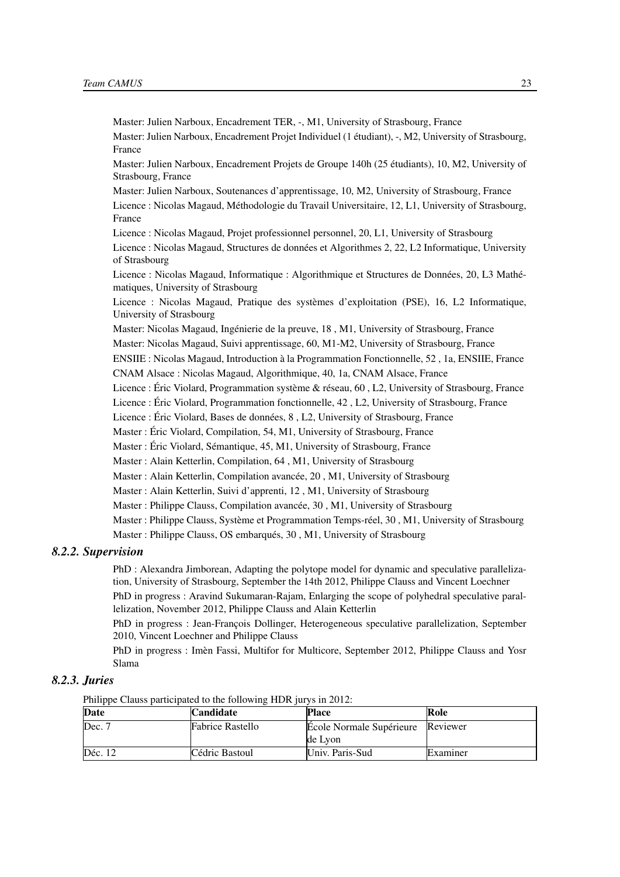Master: Julien Narboux, Encadrement TER, -, M1, University of Strasbourg, France Master: Julien Narboux, Encadrement Projet Individuel (1 étudiant), -, M2, University of Strasbourg, France Master: Julien Narboux, Encadrement Projets de Groupe 140h (25 étudiants), 10, M2, University of Strasbourg, France Master: Julien Narboux, Soutenances d'apprentissage, 10, M2, University of Strasbourg, France Licence : Nicolas Magaud, Méthodologie du Travail Universitaire, 12, L1, University of Strasbourg, France Licence : Nicolas Magaud, Projet professionnel personnel, 20, L1, University of Strasbourg Licence : Nicolas Magaud, Structures de données et Algorithmes 2, 22, L2 Informatique, University of Strasbourg Licence : Nicolas Magaud, Informatique : Algorithmique et Structures de Données, 20, L3 Mathématiques, University of Strasbourg Licence : Nicolas Magaud, Pratique des systèmes d'exploitation (PSE), 16, L2 Informatique, University of Strasbourg Master: Nicolas Magaud, Ingénierie de la preuve, 18 , M1, University of Strasbourg, France Master: Nicolas Magaud, Suivi apprentissage, 60, M1-M2, University of Strasbourg, France ENSIIE : Nicolas Magaud, Introduction à la Programmation Fonctionnelle, 52 , 1a, ENSIIE, France CNAM Alsace : Nicolas Magaud, Algorithmique, 40, 1a, CNAM Alsace, France Licence : Éric Violard, Programmation système & réseau, 60 , L2, University of Strasbourg, France Licence : Éric Violard, Programmation fonctionnelle, 42 , L2, University of Strasbourg, France Licence : Éric Violard, Bases de données, 8 , L2, University of Strasbourg, France Master : Éric Violard, Compilation, 54, M1, University of Strasbourg, France Master : Éric Violard, Sémantique, 45, M1, University of Strasbourg, France Master : Alain Ketterlin, Compilation, 64 , M1, University of Strasbourg Master : Alain Ketterlin, Compilation avancée, 20 , M1, University of Strasbourg Master : Alain Ketterlin, Suivi d'apprenti, 12 , M1, University of Strasbourg Master : Philippe Clauss, Compilation avancée, 30 , M1, University of Strasbourg Master : Philippe Clauss, Système et Programmation Temps-réel, 30 , M1, University of Strasbourg Master : Philippe Clauss, OS embarqués, 30 , M1, University of Strasbourg

#### <span id="page-26-0"></span>*8.2.2. Supervision*

PhD : Alexandra Jimborean, Adapting the polytope model for dynamic and speculative parallelization, University of Strasbourg, September the 14th 2012, Philippe Clauss and Vincent Loechner

PhD in progress : Aravind Sukumaran-Rajam, Enlarging the scope of polyhedral speculative parallelization, November 2012, Philippe Clauss and Alain Ketterlin

PhD in progress : Jean-François Dollinger, Heterogeneous speculative parallelization, September 2010, Vincent Loechner and Philippe Clauss

PhD in progress : Imèn Fassi, Multifor for Multicore, September 2012, Philippe Clauss and Yosr Slama

## *8.2.3. Juries*

<span id="page-26-1"></span>Philippe Clauss participated to the following HDR jurys in 2012:

| Date      | <b>Candidate</b>        | <b>Place</b>             | Role     |
|-----------|-------------------------|--------------------------|----------|
| Dec. 7    | <b>Fabrice Rastello</b> | Ecole Normale Supérieure | Reviewer |
|           |                         | de Lvon                  |          |
| Déc. $12$ | Cédric Bastoul          | Univ. Paris-Sud          | Examiner |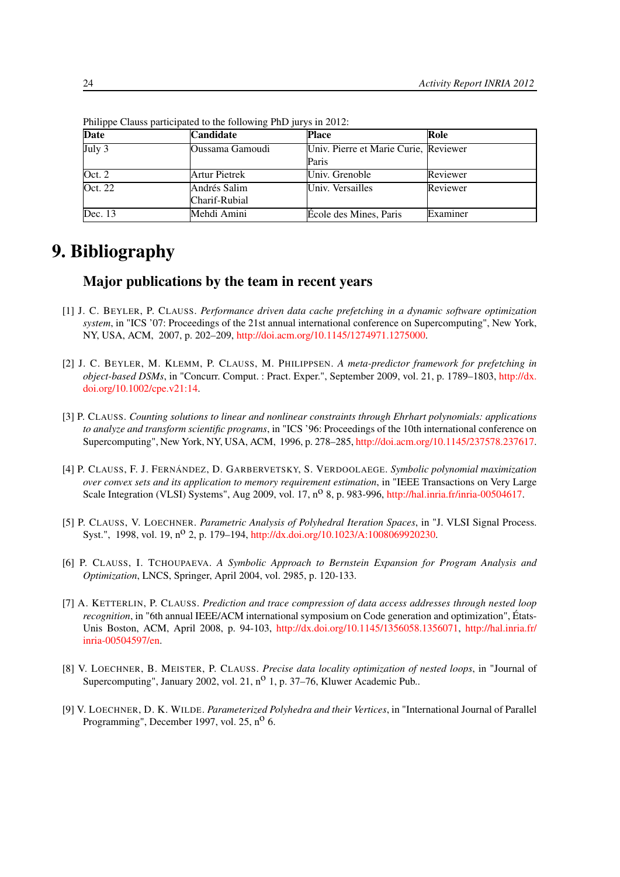| <b>Date</b>         | Candidate       | <b>Place</b>                          | Role     |
|---------------------|-----------------|---------------------------------------|----------|
| $\overline{July 3}$ | Oussama Gamoudi | Univ. Pierre et Marie Curie, Reviewer |          |
|                     |                 | Paris                                 |          |
| Oct. 2              | Artur Pietrek   | Univ. Grenoble                        | Reviewer |
| Oct. 22             | Andrés Salim    | Univ. Versailles                      | Reviewer |
|                     | Charif-Rubial   |                                       |          |
| Dec. 13             | Mehdi Amini     | Ecole des Mines, Paris                | Examiner |

Philippe Clauss participated to the following PhD jurys in 2012:

# <span id="page-27-0"></span>9. Bibliography

# Major publications by the team in recent years

- <span id="page-27-5"></span>[1] J. C. BEYLER, P. CLAUSS. *Performance driven data cache prefetching in a dynamic software optimization system*, in "ICS '07: Proceedings of the 21st annual international conference on Supercomputing", New York, NY, USA, ACM, 2007, p. 202–209, [http://doi.acm.org/10.1145/1274971.1275000.](http://doi.acm.org/10.1145/1274971.1275000)
- [2] J. C. BEYLER, M. KLEMM, P. CLAUSS, M. PHILIPPSEN. *A meta-predictor framework for prefetching in object-based DSMs*, in "Concurr. Comput. : Pract. Exper.", September 2009, vol. 21, p. 1789–1803, [http://dx.](http://dx.doi.org/10.1002/cpe.v21:14) [doi.org/10.1002/cpe.v21:14.](http://dx.doi.org/10.1002/cpe.v21:14)
- <span id="page-27-4"></span>[3] P. CLAUSS. *Counting solutions to linear and nonlinear constraints through Ehrhart polynomials: applications to analyze and transform scientific programs*, in "ICS '96: Proceedings of the 10th international conference on Supercomputing", New York, NY, USA, ACM, 1996, p. 278–285, [http://doi.acm.org/10.1145/237578.237617.](http://doi.acm.org/10.1145/237578.237617)
- [4] P. CLAUSS, F. J. FERNÁNDEZ, D. GARBERVETSKY, S. VERDOOLAEGE. *Symbolic polynomial maximization over convex sets and its application to memory requirement estimation*, in "IEEE Transactions on Very Large Scale Integration (VLSI) Systems", Aug 2009, vol. 17, n<sup>o</sup> 8, p. 983-996, [http://hal.inria.fr/inria-00504617.](http://hal.inria.fr/inria-00504617)
- <span id="page-27-3"></span>[5] P. CLAUSS, V. LOECHNER. *Parametric Analysis of Polyhedral Iteration Spaces*, in "J. VLSI Signal Process. Syst.", 1998, vol. 19, n<sup>o</sup> 2, p. 179–194, [http://dx.doi.org/10.1023/A:1008069920230.](http://dx.doi.org/10.1023/A:1008069920230)
- [6] P. CLAUSS, I. TCHOUPAEVA. *A Symbolic Approach to Bernstein Expansion for Program Analysis and Optimization*, LNCS, Springer, April 2004, vol. 2985, p. 120-133.
- <span id="page-27-6"></span>[7] A. KETTERLIN, P. CLAUSS. *Prediction and trace compression of data access addresses through nested loop recognition*, in "6th annual IEEE/ACM international symposium on Code generation and optimization", États-Unis Boston, ACM, April 2008, p. 94-103, [http://dx.doi.org/10.1145/1356058.1356071,](http://dx.doi.org/10.1145/1356058.1356071) [http://hal.inria.fr/](http://hal.inria.fr/inria-00504597/en) [inria-00504597/en.](http://hal.inria.fr/inria-00504597/en)
- <span id="page-27-1"></span>[8] V. LOECHNER, B. MEISTER, P. CLAUSS. *Precise data locality optimization of nested loops*, in "Journal of Supercomputing", January 2002, vol. 21,  $n^0$  1, p. 37–76, Kluwer Academic Pub..
- <span id="page-27-2"></span>[9] V. LOECHNER, D. K. WILDE. *Parameterized Polyhedra and their Vertices*, in "International Journal of Parallel Programming", December 1997, vol. 25, n<sup>o</sup> 6.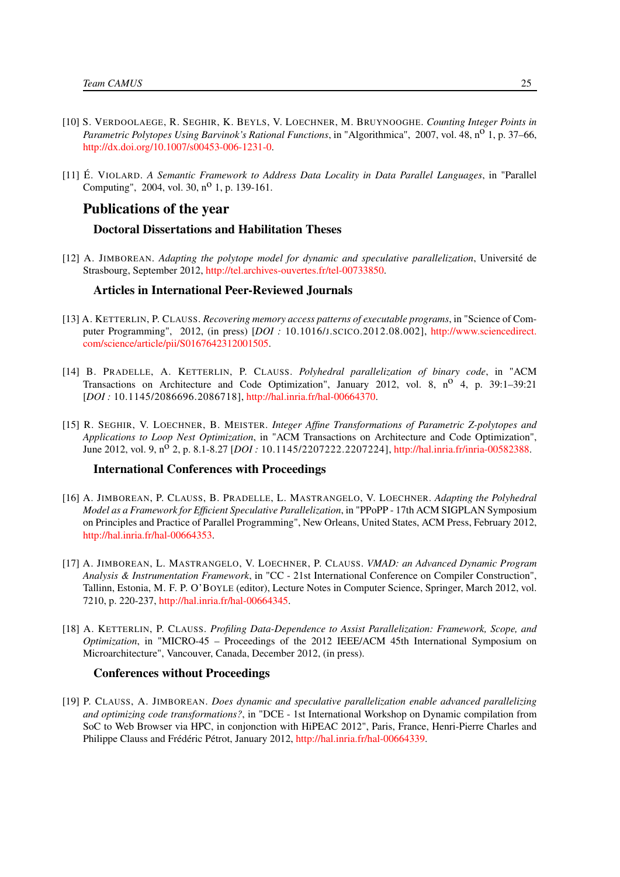- <span id="page-28-1"></span>[10] S. VERDOOLAEGE, R. SEGHIR, K. BEYLS, V. LOECHNER, M. BRUYNOOGHE. *Counting Integer Points in Parametric Polytopes Using Barvinok's Rational Functions*, in "Algorithmica", 2007, vol. 48, n<sup>o</sup> 1, p. 37–66, [http://dx.doi.org/10.1007/s00453-006-1231-0.](http://dx.doi.org/10.1007/s00453-006-1231-0)
- <span id="page-28-2"></span>[11] É. VIOLARD. *A Semantic Framework to Address Data Locality in Data Parallel Languages*, in "Parallel Computing", 2004, vol. 30, n<sup>o</sup> 1, p. 139-161.

# Publications of the year

#### Doctoral Dissertations and Habilitation Theses

<span id="page-28-7"></span>[12] A. JIMBOREAN. *Adapting the polytope model for dynamic and speculative parallelization*, Université de Strasbourg, September 2012, [http://tel.archives-ouvertes.fr/tel-00733850.](http://tel.archives-ouvertes.fr/tel-00733850)

### Articles in International Peer-Reviewed Journals

- [13] A. KETTERLIN, P. CLAUSS. *Recovering memory access patterns of executable programs*, in "Science of Computer Programming", 2012, (in press) [*DOI :* 10.1016/J.SCICO.2012.08.002], [http://www.sciencedirect.](http://www.sciencedirect.com/science/article/pii/S0167642312001505) [com/science/article/pii/S0167642312001505.](http://www.sciencedirect.com/science/article/pii/S0167642312001505)
- [14] B. PRADELLE, A. KETTERLIN, P. CLAUSS. *Polyhedral parallelization of binary code*, in "ACM Transactions on Architecture and Code Optimization", January 2012, vol. 8,  $n^{\circ}$  4, p. 39:1–39:21 [*DOI :* 10.1145/2086696.2086718], [http://hal.inria.fr/hal-00664370.](http://hal.inria.fr/hal-00664370)
- <span id="page-28-3"></span>[15] R. SEGHIR, V. LOECHNER, B. MEISTER. *Integer Affine Transformations of Parametric Z-polytopes and Applications to Loop Nest Optimization*, in "ACM Transactions on Architecture and Code Optimization", June 2012, vol. 9, n<sup>o</sup> 2, p. 8.1-8.27 [*DOI*: 10.1145/2207222.2207224], [http://hal.inria.fr/inria-00582388.](http://hal.inria.fr/inria-00582388)

### International Conferences with Proceedings

- <span id="page-28-6"></span>[16] A. JIMBOREAN, P. CLAUSS, B. PRADELLE, L. MASTRANGELO, V. LOECHNER. *Adapting the Polyhedral Model as a Framework for Efficient Speculative Parallelization*, in "PPoPP - 17th ACM SIGPLAN Symposium on Principles and Practice of Parallel Programming", New Orleans, United States, ACM Press, February 2012, [http://hal.inria.fr/hal-00664353.](http://hal.inria.fr/hal-00664353)
- <span id="page-28-4"></span>[17] A. JIMBOREAN, L. MASTRANGELO, V. LOECHNER, P. CLAUSS. *VMAD: an Advanced Dynamic Program Analysis & Instrumentation Framework*, in "CC - 21st International Conference on Compiler Construction", Tallinn, Estonia, M. F. P. O'BOYLE (editor), Lecture Notes in Computer Science, Springer, March 2012, vol. 7210, p. 220-237, [http://hal.inria.fr/hal-00664345.](http://hal.inria.fr/hal-00664345)
- <span id="page-28-0"></span>[18] A. KETTERLIN, P. CLAUSS. *Profiling Data-Dependence to Assist Parallelization: Framework, Scope, and Optimization*, in "MICRO-45 – Proceedings of the 2012 IEEE/ACM 45th International Symposium on Microarchitecture", Vancouver, Canada, December 2012, (in press).

#### Conferences without Proceedings

<span id="page-28-5"></span>[19] P. CLAUSS, A. JIMBOREAN. *Does dynamic and speculative parallelization enable advanced parallelizing and optimizing code transformations?*, in "DCE - 1st International Workshop on Dynamic compilation from SoC to Web Browser via HPC, in conjonction with HiPEAC 2012", Paris, France, Henri-Pierre Charles and Philippe Clauss and Frédéric Pétrot, January 2012, [http://hal.inria.fr/hal-00664339.](http://hal.inria.fr/hal-00664339)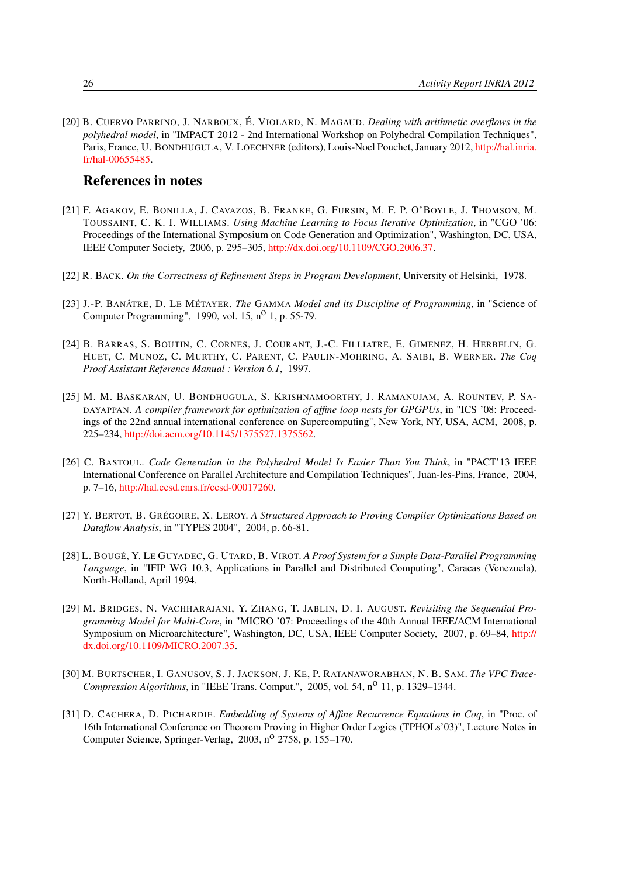<span id="page-29-11"></span>[20] B. CUERVO PARRINO, J. NARBOUX, É. VIOLARD, N. MAGAUD. *Dealing with arithmetic overflows in the polyhedral model*, in "IMPACT 2012 - 2nd International Workshop on Polyhedral Compilation Techniques", Paris, France, U. BONDHUGULA, V. LOECHNER (editors), Louis-Noel Pouchet, January 2012, [http://hal.inria.](http://hal.inria.fr/hal-00655485) [fr/hal-00655485.](http://hal.inria.fr/hal-00655485)

# References in notes

- <span id="page-29-4"></span>[21] F. AGAKOV, E. BONILLA, J. CAVAZOS, B. FRANKE, G. FURSIN, M. F. P. O'BOYLE, J. THOMSON, M. TOUSSAINT, C. K. I. WILLIAMS. *Using Machine Learning to Focus Iterative Optimization*, in "CGO '06: Proceedings of the International Symposium on Code Generation and Optimization", Washington, DC, USA, IEEE Computer Society, 2006, p. 295–305, [http://dx.doi.org/10.1109/CGO.2006.37.](http://dx.doi.org/10.1109/CGO.2006.37)
- <span id="page-29-8"></span>[22] R. BACK. *On the Correctness of Refinement Steps in Program Development*, University of Helsinki, 1978.
- <span id="page-29-9"></span>[23] J.-P. BANÂTRE, D. LE MÉTAYER. *The* GAMMA *Model and its Discipline of Programming*, in "Science of Computer Programming", 1990, vol.  $15$ ,  $n^0$  1, p. 55-79.
- <span id="page-29-5"></span>[24] B. BARRAS, S. BOUTIN, C. CORNES, J. COURANT, J.-C. FILLIATRE, E. GIMENEZ, H. HERBELIN, G. HUET, C. MUNOZ, C. MURTHY, C. PARENT, C. PAULIN-MOHRING, A. SAIBI, B. WERNER. *The Coq Proof Assistant Reference Manual : Version 6.1*, 1997.
- <span id="page-29-1"></span>[25] M. M. BASKARAN, U. BONDHUGULA, S. KRISHNAMOORTHY, J. RAMANUJAM, A. ROUNTEV, P. SA-DAYAPPAN. *A compiler framework for optimization of affine loop nests for GPGPUs*, in "ICS '08: Proceedings of the 22nd annual international conference on Supercomputing", New York, NY, USA, ACM, 2008, p. 225–234, [http://doi.acm.org/10.1145/1375527.1375562.](http://doi.acm.org/10.1145/1375527.1375562)
- <span id="page-29-0"></span>[26] C. BASTOUL. *Code Generation in the Polyhedral Model Is Easier Than You Think*, in "PACT'13 IEEE International Conference on Parallel Architecture and Compilation Techniques", Juan-les-Pins, France, 2004, p. 7–16, [http://hal.ccsd.cnrs.fr/ccsd-00017260.](http://hal.ccsd.cnrs.fr/ccsd-00017260)
- <span id="page-29-6"></span>[27] Y. BERTOT, B. GRÉGOIRE, X. LEROY. *A Structured Approach to Proving Compiler Optimizations Based on Dataflow Analysis*, in "TYPES 2004", 2004, p. 66-81.
- <span id="page-29-7"></span>[28] L. BOUGÉ, Y. LE GUYADEC, G. UTARD, B. VIROT. *A Proof System for a Simple Data-Parallel Programming Language*, in "IFIP WG 10.3, Applications in Parallel and Distributed Computing", Caracas (Venezuela), North-Holland, April 1994.
- <span id="page-29-2"></span>[29] M. BRIDGES, N. VACHHARAJANI, Y. ZHANG, T. JABLIN, D. I. AUGUST. *Revisiting the Sequential Programming Model for Multi-Core*, in "MICRO '07: Proceedings of the 40th Annual IEEE/ACM International Symposium on Microarchitecture", Washington, DC, USA, IEEE Computer Society, 2007, p. 69–84, [http://](http://dx.doi.org/10.1109/MICRO.2007.35) [dx.doi.org/10.1109/MICRO.2007.35.](http://dx.doi.org/10.1109/MICRO.2007.35)
- <span id="page-29-3"></span>[30] M. BURTSCHER, I. GANUSOV, S. J. JACKSON, J. KE, P. RATANAWORABHAN, N. B. SAM. *The VPC Trace-Compression Algorithms*, in "IEEE Trans. Comput.", 2005, vol. 54, n<sup>o</sup> 11, p. 1329–1344.
- <span id="page-29-10"></span>[31] D. CACHERA, D. PICHARDIE. *Embedding of Systems of Affine Recurrence Equations in Coq*, in "Proc. of 16th International Conference on Theorem Proving in Higher Order Logics (TPHOLs'03)", Lecture Notes in Computer Science, Springer-Verlag, 2003, n<sup>o</sup> 2758, p. 155–170.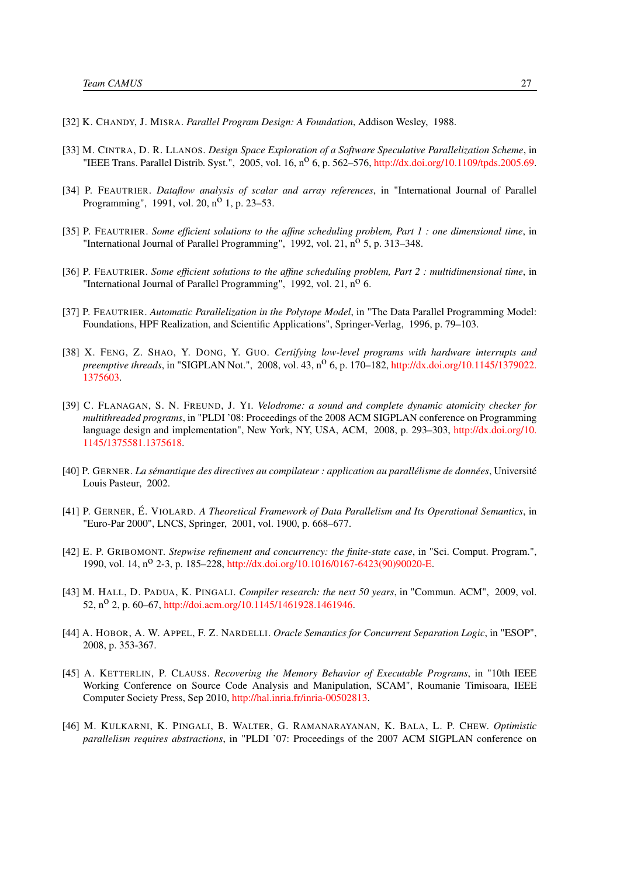- <span id="page-30-11"></span>[32] K. CHANDY, J. MISRA. *Parallel Program Design: A Foundation*, Addison Wesley, 1988.
- <span id="page-30-5"></span>[33] M. CINTRA, D. R. LLANOS. *Design Space Exploration of a Software Speculative Parallelization Scheme*, in "IEEE Trans. Parallel Distrib. Syst.", 2005, vol. 16, n<sup>o</sup> 6, p. 562–576, [http://dx.doi.org/10.1109/tpds.2005.69.](http://dx.doi.org/10.1109/tpds.2005.69)
- <span id="page-30-1"></span>[34] P. FEAUTRIER. *Dataflow analysis of scalar and array references*, in "International Journal of Parallel Programming", 1991, vol. 20,  $n^{O}$  1, p. 23–53.
- <span id="page-30-2"></span>[35] P. FEAUTRIER. *Some efficient solutions to the affine scheduling problem, Part 1 : one dimensional time*, in "International Journal of Parallel Programming", 1992, vol. 21,  $n^{\circ}$  5, p. 313–348.
- <span id="page-30-3"></span>[36] P. FEAUTRIER. *Some efficient solutions to the affine scheduling problem, Part 2 : multidimensional time*, in "International Journal of Parallel Programming", 1992, vol.  $21, n^0$  6.
- <span id="page-30-13"></span>[37] P. FEAUTRIER. *Automatic Parallelization in the Polytope Model*, in "The Data Parallel Programming Model: Foundations, HPF Realization, and Scientific Applications", Springer-Verlag, 1996, p. 79–103.
- <span id="page-30-6"></span>[38] X. FENG, Z. SHAO, Y. DONG, Y. GUO. *Certifying low-level programs with hardware interrupts and preemptive threads*, in "SIGPLAN Not.", 2008, vol. 43, n<sup>o</sup> 6, p. 170–182, [http://dx.doi.org/10.1145/1379022.](http://dx.doi.org/10.1145/1379022.1375603) [1375603.](http://dx.doi.org/10.1145/1379022.1375603)
- <span id="page-30-9"></span>[39] C. FLANAGAN, S. N. FREUND, J. YI. *Velodrome: a sound and complete dynamic atomicity checker for multithreaded programs*, in "PLDI '08: Proceedings of the 2008 ACM SIGPLAN conference on Programming language design and implementation", New York, NY, USA, ACM, 2008, p. 293–303, [http://dx.doi.org/10.](http://dx.doi.org/10.1145/1375581.1375618) [1145/1375581.1375618.](http://dx.doi.org/10.1145/1375581.1375618)
- <span id="page-30-7"></span>[40] P. GERNER. *La sémantique des directives au compilateur : application au parallélisme de données*, Université Louis Pasteur, 2002.
- <span id="page-30-8"></span>[41] P. GERNER, É. VIOLARD. *A Theoretical Framework of Data Parallelism and Its Operational Semantics*, in "Euro-Par 2000", LNCS, Springer, 2001, vol. 1900, p. 668–677.
- <span id="page-30-10"></span>[42] E. P. GRIBOMONT. *Stepwise refinement and concurrency: the finite-state case*, in "Sci. Comput. Program.", 1990, vol. 14, n<sup>o</sup> 2-3, p. 185–228, [http://dx.doi.org/10.1016/0167-6423\(90\)90020-E.](http://dx.doi.org/10.1016/0167-6423(90)90020-E)
- <span id="page-30-0"></span>[43] M. HALL, D. PADUA, K. PINGALI. *Compiler research: the next 50 years*, in "Commun. ACM", 2009, vol. 52, n<sup>o</sup> 2, p. 60–67, [http://doi.acm.org/10.1145/1461928.1461946.](http://doi.acm.org/10.1145/1461928.1461946)
- <span id="page-30-12"></span>[44] A. HOBOR, A. W. APPEL, F. Z. NARDELLI. *Oracle Semantics for Concurrent Separation Logic*, in "ESOP", 2008, p. 353-367.
- <span id="page-30-14"></span>[45] A. KETTERLIN, P. CLAUSS. *Recovering the Memory Behavior of Executable Programs*, in "10th IEEE Working Conference on Source Code Analysis and Manipulation, SCAM", Roumanie Timisoara, IEEE Computer Society Press, Sep 2010, [http://hal.inria.fr/inria-00502813.](http://hal.inria.fr/inria-00502813)
- <span id="page-30-4"></span>[46] M. KULKARNI, K. PINGALI, B. WALTER, G. RAMANARAYANAN, K. BALA, L. P. CHEW. *Optimistic parallelism requires abstractions*, in "PLDI '07: Proceedings of the 2007 ACM SIGPLAN conference on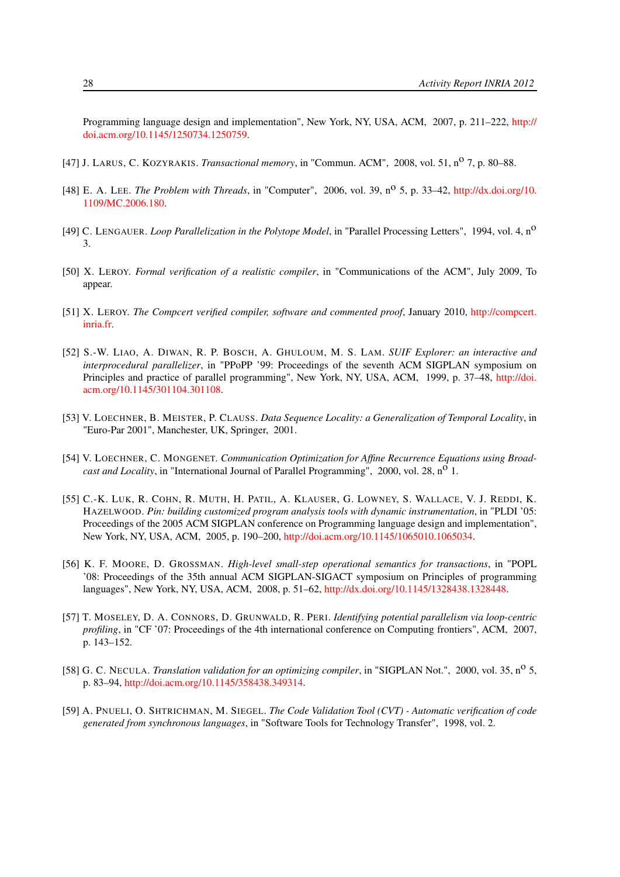Programming language design and implementation", New York, NY, USA, ACM, 2007, p. 211–222, [http://](http://doi.acm.org/10.1145/1250734.1250759) [doi.acm.org/10.1145/1250734.1250759.](http://doi.acm.org/10.1145/1250734.1250759)

- <span id="page-31-7"></span>[47] J. LARUS, C. KOZYRAKIS. *Transactional memory*, in "Commun. ACM", 2008, vol. 51, nº 7, p. 80-88.
- <span id="page-31-3"></span>[48] E. A. LEE. *The Problem with Threads*, in "Computer", 2006, vol. 39, no 5, p. 33–42, [http://dx.doi.org/10.](http://dx.doi.org/10.1109/MC.2006.180) [1109/MC.2006.180.](http://dx.doi.org/10.1109/MC.2006.180)
- <span id="page-31-9"></span>[49] C. LENGAUER. *Loop Parallelization in the Polytope Model*, in "Parallel Processing Letters", 1994, vol. 4, no 3.
- <span id="page-31-6"></span>[50] X. LEROY. *Formal verification of a realistic compiler*, in "Communications of the ACM", July 2009, To appear.
- <span id="page-31-12"></span>[51] X. LEROY. *The Compcert verified compiler, software and commented proof*, January 2010, [http://compcert.](http://compcert.inria.fr) [inria.fr.](http://compcert.inria.fr)
- <span id="page-31-5"></span>[52] S.-W. LIAO, A. DIWAN, R. P. BOSCH, A. GHULOUM, M. S. LAM. *SUIF Explorer: an interactive and interprocedural parallelizer*, in "PPoPP '99: Proceedings of the seventh ACM SIGPLAN symposium on Principles and practice of parallel programming", New York, NY, USA, ACM, 1999, p. 37–48, [http://doi.](http://doi.acm.org/10.1145/301104.301108) [acm.org/10.1145/301104.301108.](http://doi.acm.org/10.1145/301104.301108)
- <span id="page-31-1"></span>[53] V. LOECHNER, B. MEISTER, P. CLAUSS. *Data Sequence Locality: a Generalization of Temporal Locality*, in "Euro-Par 2001", Manchester, UK, Springer, 2001.
- <span id="page-31-0"></span>[54] V. LOECHNER, C. MONGENET. *Communication Optimization for Affine Recurrence Equations using Broadcast and Locality*, in "International Journal of Parallel Programming", 2000, vol. 28, n<sup>o</sup> 1.
- <span id="page-31-2"></span>[55] C.-K. LUK, R. COHN, R. MUTH, H. PATIL, A. KLAUSER, G. LOWNEY, S. WALLACE, V. J. REDDI, K. HAZELWOOD. *Pin: building customized program analysis tools with dynamic instrumentation*, in "PLDI '05: Proceedings of the 2005 ACM SIGPLAN conference on Programming language design and implementation", New York, NY, USA, ACM, 2005, p. 190–200, [http://doi.acm.org/10.1145/1065010.1065034.](http://doi.acm.org/10.1145/1065010.1065034)
- <span id="page-31-8"></span>[56] K. F. MOORE, D. GROSSMAN. *High-level small-step operational semantics for transactions*, in "POPL '08: Proceedings of the 35th annual ACM SIGPLAN-SIGACT symposium on Principles of programming languages", New York, NY, USA, ACM, 2008, p. 51–62, [http://dx.doi.org/10.1145/1328438.1328448.](http://dx.doi.org/10.1145/1328438.1328448)
- <span id="page-31-4"></span>[57] T. MOSELEY, D. A. CONNORS, D. GRUNWALD, R. PERI. *Identifying potential parallelism via loop-centric profiling*, in "CF '07: Proceedings of the 4th international conference on Computing frontiers", ACM, 2007, p. 143–152.
- <span id="page-31-11"></span>[58] G. C. NECULA. *Translation validation for an optimizing compiler*, in "SIGPLAN Not.", 2000, vol. 35, n<sup>o</sup> 5, p. 83–94, [http://doi.acm.org/10.1145/358438.349314.](http://doi.acm.org/10.1145/358438.349314)
- <span id="page-31-10"></span>[59] A. PNUELI, O. SHTRICHMAN, M. SIEGEL. *The Code Validation Tool (CVT) - Automatic verification of code generated from synchronous languages*, in "Software Tools for Technology Transfer", 1998, vol. 2.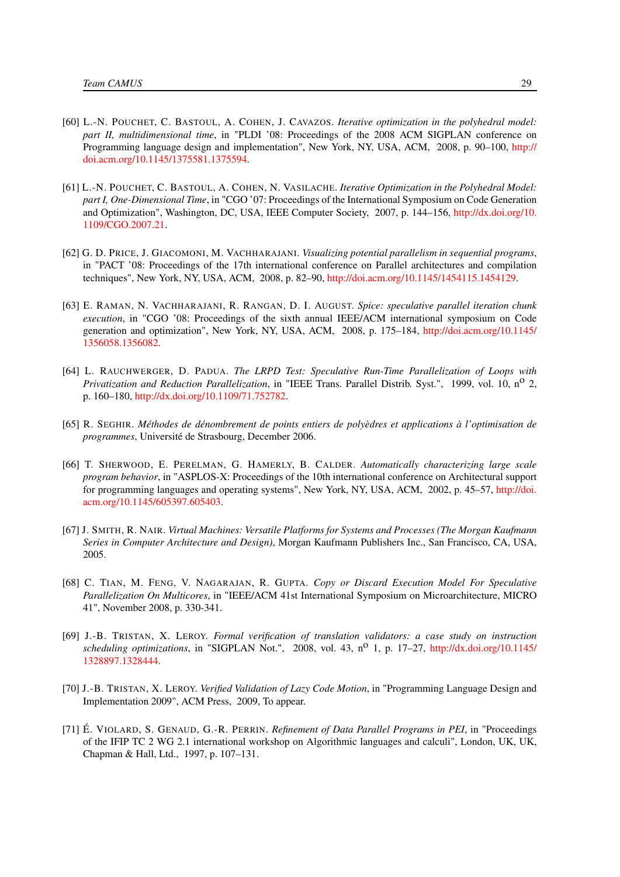- <span id="page-32-4"></span>[60] L.-N. POUCHET, C. BASTOUL, A. COHEN, J. CAVAZOS. *Iterative optimization in the polyhedral model: part II, multidimensional time*, in "PLDI '08: Proceedings of the 2008 ACM SIGPLAN conference on Programming language design and implementation", New York, NY, USA, ACM, 2008, p. 90–100, [http://](http://doi.acm.org/10.1145/1375581.1375594) [doi.acm.org/10.1145/1375581.1375594.](http://doi.acm.org/10.1145/1375581.1375594)
- <span id="page-32-3"></span>[61] L.-N. POUCHET, C. BASTOUL, A. COHEN, N. VASILACHE. *Iterative Optimization in the Polyhedral Model: part I, One-Dimensional Time*, in "CGO '07: Proceedings of the International Symposium on Code Generation and Optimization", Washington, DC, USA, IEEE Computer Society, 2007, p. 144–156, [http://dx.doi.org/10.](http://dx.doi.org/10.1109/CGO.2007.21) [1109/CGO.2007.21.](http://dx.doi.org/10.1109/CGO.2007.21)
- <span id="page-32-2"></span>[62] G. D. PRICE, J. GIACOMONI, M. VACHHARAJANI. *Visualizing potential parallelism in sequential programs*, in "PACT '08: Proceedings of the 17th international conference on Parallel architectures and compilation techniques", New York, NY, USA, ACM, 2008, p. 82–90, [http://doi.acm.org/10.1145/1454115.1454129.](http://doi.acm.org/10.1145/1454115.1454129)
- <span id="page-32-7"></span>[63] E. RAMAN, N. VACHHARAJANI, R. RANGAN, D. I. AUGUST. *Spice: speculative parallel iteration chunk execution*, in "CGO '08: Proceedings of the sixth annual IEEE/ACM international symposium on Code generation and optimization", New York, NY, USA, ACM, 2008, p. 175–184, [http://doi.acm.org/10.1145/](http://doi.acm.org/10.1145/1356058.1356082) [1356058.1356082.](http://doi.acm.org/10.1145/1356058.1356082)
- <span id="page-32-5"></span>[64] L. RAUCHWERGER, D. PADUA. *The LRPD Test: Speculative Run-Time Parallelization of Loops with Privatization and Reduction Parallelization*, in "IEEE Trans. Parallel Distrib. Syst.", 1999, vol. 10, no 2, p. 160–180, [http://dx.doi.org/10.1109/71.752782.](http://dx.doi.org/10.1109/71.752782)
- <span id="page-32-0"></span>[65] R. SEGHIR. *Méthodes de dénombrement de points entiers de polyèdres et applications à l'optimisation de programmes*, Université de Strasbourg, December 2006.
- <span id="page-32-1"></span>[66] T. SHERWOOD, E. PERELMAN, G. HAMERLY, B. CALDER. *Automatically characterizing large scale program behavior*, in "ASPLOS-X: Proceedings of the 10th international conference on Architectural support for programming languages and operating systems", New York, NY, USA, ACM, 2002, p. 45–57, [http://doi.](http://doi.acm.org/10.1145/605397.605403) [acm.org/10.1145/605397.605403.](http://doi.acm.org/10.1145/605397.605403)
- <span id="page-32-8"></span>[67] J. SMITH, R. NAIR. *Virtual Machines: Versatile Platforms for Systems and Processes (The Morgan Kaufmann Series in Computer Architecture and Design)*, Morgan Kaufmann Publishers Inc., San Francisco, CA, USA, 2005.
- <span id="page-32-6"></span>[68] C. TIAN, M. FENG, V. NAGARAJAN, R. GUPTA. *Copy or Discard Execution Model For Speculative Parallelization On Multicores*, in "IEEE/ACM 41st International Symposium on Microarchitecture, MICRO 41", November 2008, p. 330-341.
- <span id="page-32-9"></span>[69] J.-B. TRISTAN, X. LEROY. *Formal verification of translation validators: a case study on instruction scheduling optimizations*, in "SIGPLAN Not.", 2008, vol. 43, n<sup>0</sup> 1, p. 17–27, [http://dx.doi.org/10.1145/](http://dx.doi.org/10.1145/1328897.1328444) [1328897.1328444.](http://dx.doi.org/10.1145/1328897.1328444)
- <span id="page-32-10"></span>[70] J.-B. TRISTAN, X. LEROY. *Verified Validation of Lazy Code Motion*, in "Programming Language Design and Implementation 2009", ACM Press, 2009, To appear.
- <span id="page-32-11"></span>[71] É. VIOLARD, S. GENAUD, G.-R. PERRIN. *Refinement of Data Parallel Programs in PEI*, in "Proceedings of the IFIP TC 2 WG 2.1 international workshop on Algorithmic languages and calculi", London, UK, UK, Chapman & Hall, Ltd., 1997, p. 107–131.